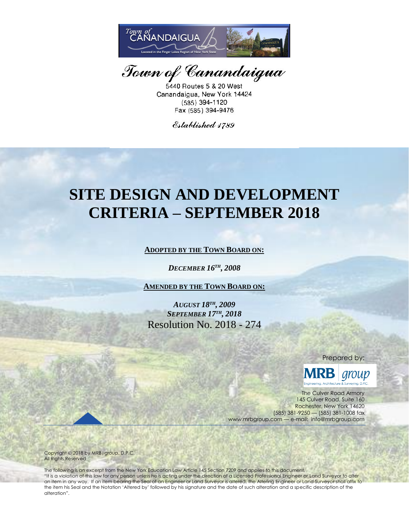

Town of Canandaigua

5440 Routes 5 & 20 West Canandaigua, New York 14424 (585) 394-1120 Fax (585) 394-9476

Established 1789

# **SITE DESIGN AND DEVELOPMENT CRITERIA – SEPTEMBER 2018**

**ADOPTED BY THE TOWN BOARD ON:**

*DECEMBER 16TH , 2008*

**AMENDED BY THE TOWN BOARD ON:**

*AUGUST 18TH , 2009 SEPTEMBER 17TH , 2018* Resolution No. 2018 - 274

Prepared by:

group

The Culver Road Armory 145 Culver Road, Suite 160 Rochester, New York 14620 (585) 381-9250 — (585) 381-1008 fax www.mrbgroup.com — e-mail: info@mrbgroup.com

Copyright 2018 by MRB|*group*, D.P.C. All Rights Reserved

The following is an excerpt from the New York Education Law Article 145 Section 7209 and applies to this document. "It is a violation of this law for any person unless he is acting under the direction of a Licensed Professional Engineer or Land Surveyor to alter an item in any way. If an item bearing the Seal of an Engineer or Land Surveyor is altered, the Altering Engineer or Land Surveyor shall affix to the item his Seal and the Notation 'Altered by' followed by his signature and the date of such alteration and a specific description of the alteration".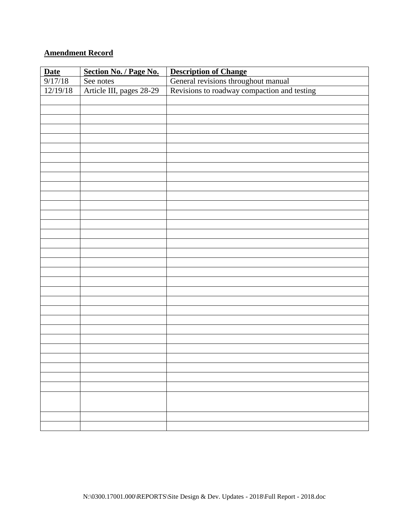# **Amendment Record**

| <b>Date</b> | Section No. / Page No.   | <b>Description of Change</b>                                                       |
|-------------|--------------------------|------------------------------------------------------------------------------------|
| 9/17/18     | See notes                |                                                                                    |
| 12/19/18    | Article III, pages 28-29 | General revisions throughout manual<br>Revisions to roadway compaction and testing |
|             |                          |                                                                                    |
|             |                          |                                                                                    |
|             |                          |                                                                                    |
|             |                          |                                                                                    |
|             |                          |                                                                                    |
|             |                          |                                                                                    |
|             |                          |                                                                                    |
|             |                          |                                                                                    |
|             |                          |                                                                                    |
|             |                          |                                                                                    |
|             |                          |                                                                                    |
|             |                          |                                                                                    |
|             |                          |                                                                                    |
|             |                          |                                                                                    |
|             |                          |                                                                                    |
|             |                          |                                                                                    |
|             |                          |                                                                                    |
|             |                          |                                                                                    |
|             |                          |                                                                                    |
|             |                          |                                                                                    |
|             |                          |                                                                                    |
|             |                          |                                                                                    |
|             |                          |                                                                                    |
|             |                          |                                                                                    |
|             |                          |                                                                                    |
|             |                          |                                                                                    |
|             |                          |                                                                                    |
|             |                          |                                                                                    |
|             |                          |                                                                                    |
|             |                          |                                                                                    |
|             |                          |                                                                                    |
|             |                          |                                                                                    |
|             |                          |                                                                                    |
|             |                          |                                                                                    |
|             |                          |                                                                                    |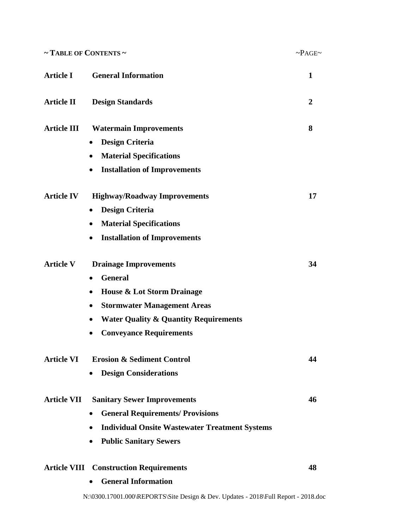| $\sim$ TABLE OF CONTENTS $\sim$ |                                                       | $\sim PAGE \sim$ |  |  |
|---------------------------------|-------------------------------------------------------|------------------|--|--|
| <b>Article I</b>                | <b>General Information</b>                            |                  |  |  |
| Article II                      | <b>Design Standards</b>                               | $\mathbf{2}$     |  |  |
| <b>Article III</b>              | <b>Watermain Improvements</b>                         | 8                |  |  |
|                                 | <b>Design Criteria</b><br>٠                           |                  |  |  |
|                                 | <b>Material Specifications</b>                        |                  |  |  |
|                                 | <b>Installation of Improvements</b><br>$\bullet$      |                  |  |  |
| <b>Article IV</b>               | <b>Highway/Roadway Improvements</b>                   | 17               |  |  |
|                                 | <b>Design Criteria</b><br>$\bullet$                   |                  |  |  |
|                                 | <b>Material Specifications</b><br>٠                   |                  |  |  |
|                                 | <b>Installation of Improvements</b><br>$\bullet$      |                  |  |  |
| <b>Article V</b>                | <b>Drainage Improvements</b>                          | 34               |  |  |
|                                 | <b>General</b><br>٠                                   |                  |  |  |
|                                 | <b>House &amp; Lot Storm Drainage</b><br>٠            |                  |  |  |
|                                 | <b>Stormwater Management Areas</b><br>٠               |                  |  |  |
|                                 | <b>Water Quality &amp; Quantity Requirements</b>      |                  |  |  |
|                                 | <b>Conveyance Requirements</b>                        |                  |  |  |
| <b>Article VI</b>               | <b>Erosion &amp; Sediment Control</b>                 | 44               |  |  |
|                                 | <b>Design Considerations</b>                          |                  |  |  |
| <b>Article VII</b>              | <b>Sanitary Sewer Improvements</b>                    | 46               |  |  |
|                                 | <b>General Requirements/ Provisions</b><br>$\bullet$  |                  |  |  |
|                                 | <b>Individual Onsite Wastewater Treatment Systems</b> |                  |  |  |
|                                 | <b>Public Sanitary Sewers</b>                         |                  |  |  |
|                                 | <b>Article VIII Construction Requirements</b>         | 48               |  |  |
|                                 | <b>General Information</b>                            |                  |  |  |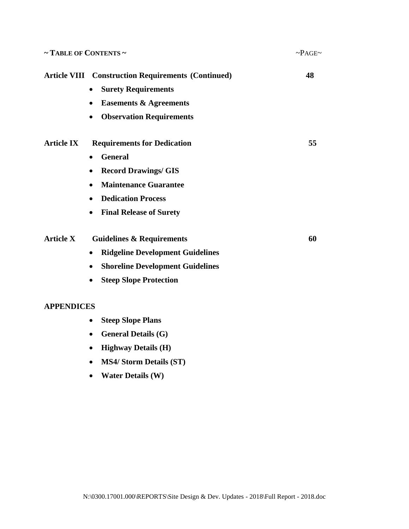| $\sim$ TABLE OF CONTENTS $\sim$ | $\sim PAGE\sim$                                           |    |
|---------------------------------|-----------------------------------------------------------|----|
|                                 | <b>Article VIII Construction Requirements (Continued)</b> | 48 |
|                                 | <b>Surety Requirements</b>                                |    |
|                                 | <b>Easements &amp; Agreements</b>                         |    |
|                                 | <b>Observation Requirements</b>                           |    |
| <b>Article IX</b>               | <b>Requirements for Dedication</b>                        | 55 |
|                                 | <b>General</b><br>$\bullet$                               |    |
|                                 | <b>Record Drawings/ GIS</b>                               |    |
|                                 | <b>Maintenance Guarantee</b><br>٠                         |    |
|                                 | <b>Dedication Process</b>                                 |    |
|                                 | <b>Final Release of Surety</b><br>$\bullet$               |    |
| <b>Article X</b>                | <b>Guidelines &amp; Requirements</b>                      | 60 |
|                                 | <b>Ridgeline Development Guidelines</b><br>$\bullet$      |    |
|                                 | <b>Shoreline Development Guidelines</b>                   |    |
|                                 | <b>Steep Slope Protection</b>                             |    |
|                                 |                                                           |    |

#### **APPENDICES**

- **Steep Slope Plans**
- **General Details (G)**
- **Highway Details (H)**
- **MS4/ Storm Details (ST)**
- **Water Details (W)**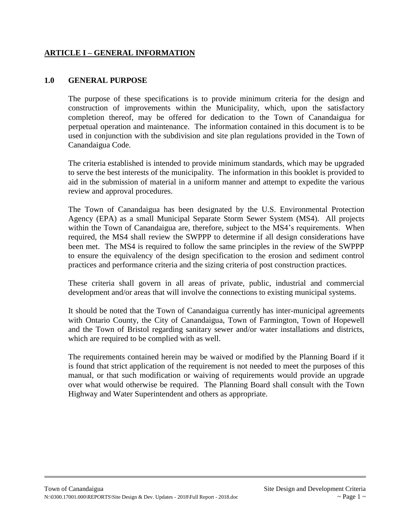## **ARTICLE I – GENERAL INFORMATION**

#### **1.0 GENERAL PURPOSE**

The purpose of these specifications is to provide minimum criteria for the design and construction of improvements within the Municipality, which, upon the satisfactory completion thereof, may be offered for dedication to the Town of Canandaigua for perpetual operation and maintenance. The information contained in this document is to be used in conjunction with the subdivision and site plan regulations provided in the Town of Canandaigua Code*.*

The criteria established is intended to provide minimum standards, which may be upgraded to serve the best interests of the municipality. The information in this booklet is provided to aid in the submission of material in a uniform manner and attempt to expedite the various review and approval procedures.

The Town of Canandaigua has been designated by the [U.S. Environmental Protection](http://www.epa.gov/)  [Agency](http://www.epa.gov/) (EPA) as a small Municipal Separate Storm Sewer System (MS4). All projects within the Town of Canandaigua are, therefore, subject to the MS4's requirements. When required, the MS4 shall review the SWPPP to determine if all design considerations have been met. The MS4 is required to follow the same principles in the review of the SWPPP to ensure the equivalency of the design specification to the erosion and sediment control practices and performance criteria and the sizing criteria of post construction practices.

These criteria shall govern in all areas of private, public, industrial and commercial development and/or areas that will involve the connections to existing municipal systems.

It should be noted that the Town of Canandaigua currently has inter-municipal agreements with Ontario County, the City of Canandaigua, Town of Farmington, Town of Hopewell and the Town of Bristol regarding sanitary sewer and/or water installations and districts, which are required to be complied with as well.

The requirements contained herein may be waived or modified by the Planning Board if it is found that strict application of the requirement is not needed to meet the purposes of this manual, or that such modification or waiving of requirements would provide an upgrade over what would otherwise be required. The Planning Board shall consult with the Town Highway and Water Superintendent and others as appropriate.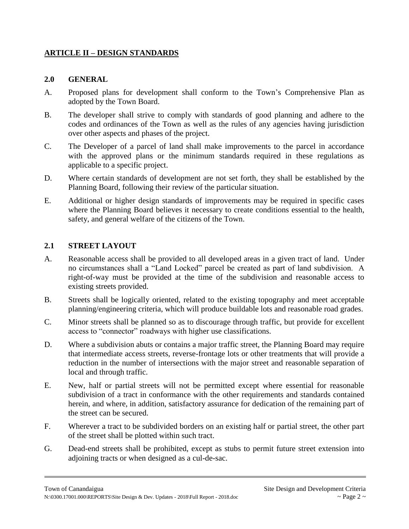# **ARTICLE II – DESIGN STANDARDS**

#### **2.0 GENERAL**

- A. Proposed plans for development shall conform to the Town's Comprehensive Plan as adopted by the Town Board.
- B. The developer shall strive to comply with standards of good planning and adhere to the codes and ordinances of the Town as well as the rules of any agencies having jurisdiction over other aspects and phases of the project.
- C. The Developer of a parcel of land shall make improvements to the parcel in accordance with the approved plans or the minimum standards required in these regulations as applicable to a specific project.
- D. Where certain standards of development are not set forth, they shall be established by the Planning Board, following their review of the particular situation.
- E. Additional or higher design standards of improvements may be required in specific cases where the Planning Board believes it necessary to create conditions essential to the health, safety, and general welfare of the citizens of the Town.

## **2.1 STREET LAYOUT**

- A. Reasonable access shall be provided to all developed areas in a given tract of land. Under no circumstances shall a "Land Locked" parcel be created as part of land subdivision. A right-of-way must be provided at the time of the subdivision and reasonable access to existing streets provided.
- B. Streets shall be logically oriented, related to the existing topography and meet acceptable planning/engineering criteria, which will produce buildable lots and reasonable road grades.
- C. Minor streets shall be planned so as to discourage through traffic, but provide for excellent access to "connector" roadways with higher use classifications.
- D. Where a subdivision abuts or contains a major traffic street, the Planning Board may require that intermediate access streets, reverse-frontage lots or other treatments that will provide a reduction in the number of intersections with the major street and reasonable separation of local and through traffic.
- E. New, half or partial streets will not be permitted except where essential for reasonable subdivision of a tract in conformance with the other requirements and standards contained herein, and where, in addition, satisfactory assurance for dedication of the remaining part of the street can be secured.
- F. Wherever a tract to be subdivided borders on an existing half or partial street, the other part of the street shall be plotted within such tract.
- G. Dead-end streets shall be prohibited, except as stubs to permit future street extension into adjoining tracts or when designed as a cul-de-sac.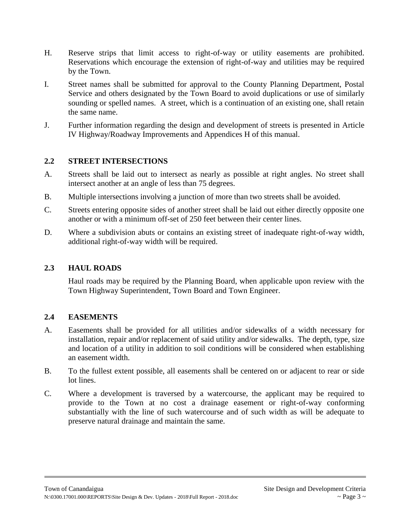- H. Reserve strips that limit access to right-of-way or utility easements are prohibited. Reservations which encourage the extension of right-of-way and utilities may be required by the Town.
- I. Street names shall be submitted for approval to the County Planning Department, Postal Service and others designated by the Town Board to avoid duplications or use of similarly sounding or spelled names. A street, which is a continuation of an existing one, shall retain the same name.
- J. Further information regarding the design and development of streets is presented in Article IV Highway/Roadway Improvements and Appendices H of this manual.

## **2.2 STREET INTERSECTIONS**

- A. Streets shall be laid out to intersect as nearly as possible at right angles. No street shall intersect another at an angle of less than 75 degrees.
- B. Multiple intersections involving a junction of more than two streets shall be avoided.
- C. Streets entering opposite sides of another street shall be laid out either directly opposite one another or with a minimum off-set of 250 feet between their center lines.
- D. Where a subdivision abuts or contains an existing street of inadequate right-of-way width, additional right-of-way width will be required.

## **2.3 HAUL ROADS**

Haul roads may be required by the Planning Board, when applicable upon review with the Town Highway Superintendent, Town Board and Town Engineer.

## **2.4 EASEMENTS**

- A. Easements shall be provided for all utilities and/or sidewalks of a width necessary for installation, repair and/or replacement of said utility and/or sidewalks. The depth, type, size and location of a utility in addition to soil conditions will be considered when establishing an easement width.
- B. To the fullest extent possible, all easements shall be centered on or adjacent to rear or side lot lines.
- C. Where a development is traversed by a watercourse, the applicant may be required to provide to the Town at no cost a drainage easement or right-of-way conforming substantially with the line of such watercourse and of such width as will be adequate to preserve natural drainage and maintain the same.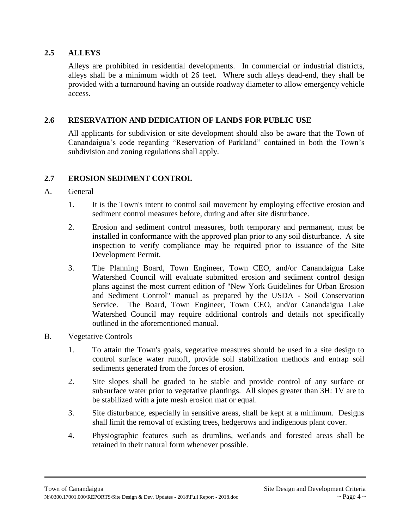## **2.5 ALLEYS**

Alleys are prohibited in residential developments. In commercial or industrial districts, alleys shall be a minimum width of 26 feet. Where such alleys dead-end, they shall be provided with a turnaround having an outside roadway diameter to allow emergency vehicle access.

## **2.6 RESERVATION AND DEDICATION OF LANDS FOR PUBLIC USE**

All applicants for subdivision or site development should also be aware that the Town of Canandaigua's code regarding "Reservation of Parkland" contained in both the Town's subdivision and zoning regulations shall apply.

## **2.7 EROSION SEDIMENT CONTROL**

## A. General

- 1. It is the Town's intent to control soil movement by employing effective erosion and sediment control measures before, during and after site disturbance.
- 2. Erosion and sediment control measures, both temporary and permanent, must be installed in conformance with the approved plan prior to any soil disturbance. A site inspection to verify compliance may be required prior to issuance of the Site Development Permit.
- 3. The Planning Board, Town Engineer, Town CEO, and/or Canandaigua Lake Watershed Council will evaluate submitted erosion and sediment control design plans against the most current edition of "New York Guidelines for Urban Erosion and Sediment Control" manual as prepared by the USDA - Soil Conservation Service. The Board, Town Engineer, Town CEO, and/or Canandaigua Lake Watershed Council may require additional controls and details not specifically outlined in the aforementioned manual.
- B. Vegetative Controls
	- 1. To attain the Town's goals, vegetative measures should be used in a site design to control surface water runoff, provide soil stabilization methods and entrap soil sediments generated from the forces of erosion.
	- 2. Site slopes shall be graded to be stable and provide control of any surface or subsurface water prior to vegetative plantings. All slopes greater than 3H: 1V are to be stabilized with a jute mesh erosion mat or equal.
	- 3. Site disturbance, especially in sensitive areas, shall be kept at a minimum. Designs shall limit the removal of existing trees, hedgerows and indigenous plant cover.
	- 4. Physiographic features such as drumlins, wetlands and forested areas shall be retained in their natural form whenever possible.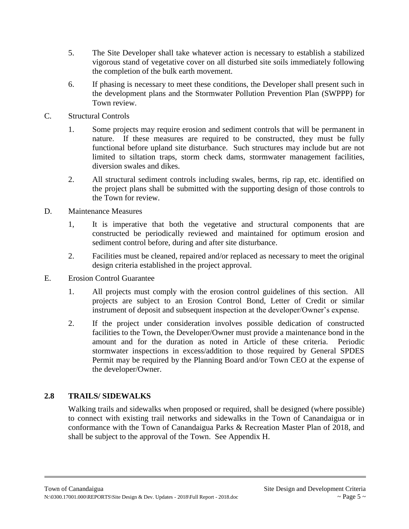- 5. The Site Developer shall take whatever action is necessary to establish a stabilized vigorous stand of vegetative cover on all disturbed site soils immediately following the completion of the bulk earth movement.
- 6. If phasing is necessary to meet these conditions, the Developer shall present such in the development plans and the Stormwater Pollution Prevention Plan (SWPPP) for Town review.
- C. Structural Controls
	- 1. Some projects may require erosion and sediment controls that will be permanent in nature. If these measures are required to be constructed, they must be fully functional before upland site disturbance. Such structures may include but are not limited to siltation traps, storm check dams, stormwater management facilities, diversion swales and dikes.
	- 2. All structural sediment controls including swales, berms, rip rap, etc. identified on the project plans shall be submitted with the supporting design of those controls to the Town for review.
- D. Maintenance Measures
	- 1, It is imperative that both the vegetative and structural components that are constructed be periodically reviewed and maintained for optimum erosion and sediment control before, during and after site disturbance.
	- 2. Facilities must be cleaned, repaired and/or replaced as necessary to meet the original design criteria established in the project approval.
- E. Erosion Control Guarantee
	- 1. All projects must comply with the erosion control guidelines of this section. All projects are subject to an Erosion Control Bond, Letter of Credit or similar instrument of deposit and subsequent inspection at the developer/Owner's expense.
	- 2. If the project under consideration involves possible dedication of constructed facilities to the Town, the Developer/Owner must provide a maintenance bond in the amount and for the duration as noted in Article of these criteria. Periodic stormwater inspections in excess/addition to those required by General SPDES Permit may be required by the Planning Board and/or Town CEO at the expense of the developer/Owner.

# **2.8 TRAILS/ SIDEWALKS**

Walking trails and sidewalks when proposed or required, shall be designed (where possible) to connect with existing trail networks and sidewalks in the Town of Canandaigua or in conformance with the Town of Canandaigua Parks & Recreation Master Plan of 2018, and shall be subject to the approval of the Town. See Appendix H.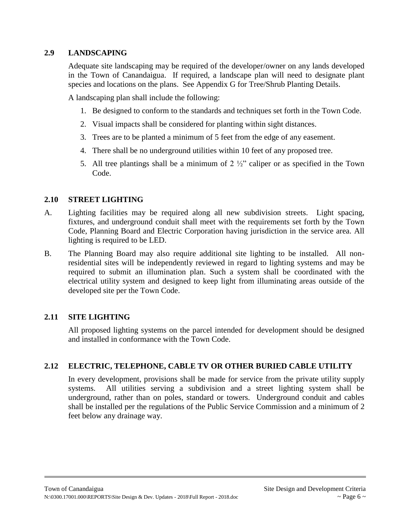## **2.9 LANDSCAPING**

Adequate site landscaping may be required of the developer/owner on any lands developed in the Town of Canandaigua. If required, a landscape plan will need to designate plant species and locations on the plans. See Appendix G for Tree/Shrub Planting Details.

A landscaping plan shall include the following:

- 1. Be designed to conform to the standards and techniques set forth in the Town Code.
- 2. Visual impacts shall be considered for planting within sight distances.
- 3. Trees are to be planted a minimum of 5 feet from the edge of any easement.
- 4. There shall be no underground utilities within 10 feet of any proposed tree.
- 5. All tree plantings shall be a minimum of  $2\frac{1}{2}$  caliper or as specified in the Town Code.

## **2.10 STREET LIGHTING**

- A. Lighting facilities may be required along all new subdivision streets. Light spacing, fixtures, and underground conduit shall meet with the requirements set forth by the Town Code, Planning Board and Electric Corporation having jurisdiction in the service area. All lighting is required to be LED.
- B. The Planning Board may also require additional site lighting to be installed. All nonresidential sites will be independently reviewed in regard to lighting systems and may be required to submit an illumination plan. Such a system shall be coordinated with the electrical utility system and designed to keep light from illuminating areas outside of the developed site per the Town Code.

# **2.11 SITE LIGHTING**

All proposed lighting systems on the parcel intended for development should be designed and installed in conformance with the Town Code.

# **2.12 ELECTRIC, TELEPHONE, CABLE TV OR OTHER BURIED CABLE UTILITY**

In every development, provisions shall be made for service from the private utility supply systems. All utilities serving a subdivision and a street lighting system shall be underground, rather than on poles, standard or towers. Underground conduit and cables shall be installed per the regulations of the Public Service Commission and a minimum of 2 feet below any drainage way.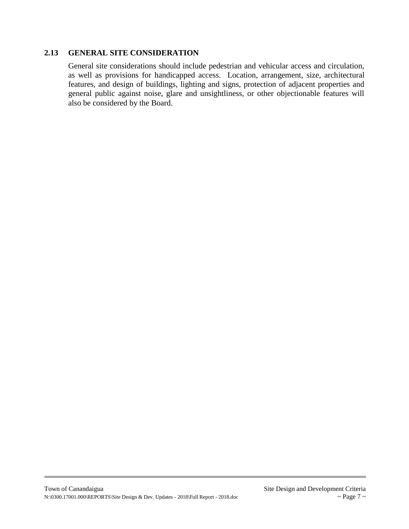#### **2.13 GENERAL SITE CONSIDERATION**

General site considerations should include pedestrian and vehicular access and circulation, as well as provisions for handicapped access. Location, arrangement, size, architectural features, and design of buildings, lighting and signs, protection of adjacent properties and general public against noise, glare and unsightliness, or other objectionable features will also be considered by the Board.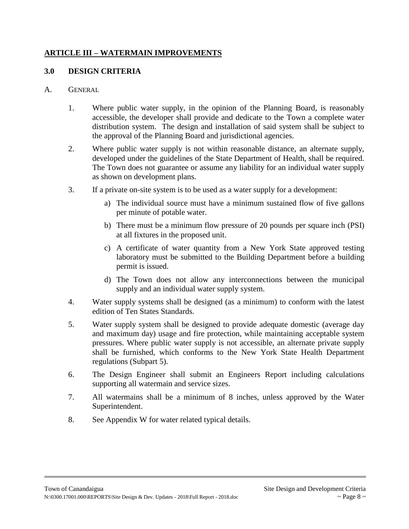## **ARTICLE III – WATERMAIN IMPROVEMENTS**

## **3.0 DESIGN CRITERIA**

#### A. GENERAL

- 1. Where public water supply, in the opinion of the Planning Board, is reasonably accessible, the developer shall provide and dedicate to the Town a complete water distribution system. The design and installation of said system shall be subject to the approval of the Planning Board and jurisdictional agencies.
- 2. Where public water supply is not within reasonable distance, an alternate supply, developed under the guidelines of the State Department of Health, shall be required. The Town does not guarantee or assume any liability for an individual water supply as shown on development plans.
- 3. If a private on-site system is to be used as a water supply for a development:
	- a) The individual source must have a minimum sustained flow of five gallons per minute of potable water.
	- b) There must be a minimum flow pressure of 20 pounds per square inch (PSI) at all fixtures in the proposed unit.
	- c) A certificate of water quantity from a New York State approved testing laboratory must be submitted to the Building Department before a building permit is issued.
	- d) The Town does not allow any interconnections between the municipal supply and an individual water supply system.
- 4. Water supply systems shall be designed (as a minimum) to conform with the latest edition of Ten States Standards.
- 5. Water supply system shall be designed to provide adequate domestic (average day and maximum day) usage and fire protection, while maintaining acceptable system pressures. Where public water supply is not accessible, an alternate private supply shall be furnished, which conforms to the New York State Health Department regulations (Subpart 5).
- 6. The Design Engineer shall submit an Engineers Report including calculations supporting all watermain and service sizes.
- 7. All watermains shall be a minimum of 8 inches, unless approved by the Water Superintendent.
- 8. See Appendix W for water related typical details.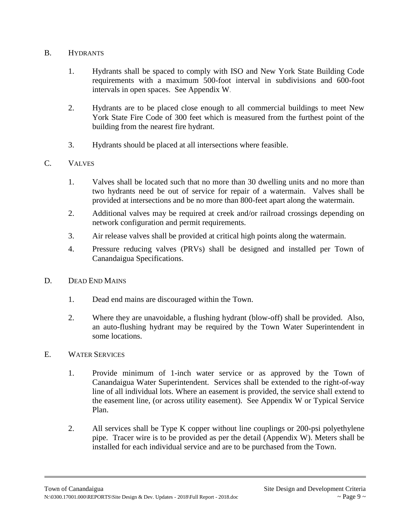## B. HYDRANTS

- 1. Hydrants shall be spaced to comply with ISO and New York State Building Code requirements with a maximum 500-foot interval in subdivisions and 600-foot intervals in open spaces. See Appendix W.
- 2. Hydrants are to be placed close enough to all commercial buildings to meet New York State Fire Code of 300 feet which is measured from the furthest point of the building from the nearest fire hydrant.
- 3. Hydrants should be placed at all intersections where feasible.

## C. VALVES

- 1. Valves shall be located such that no more than 30 dwelling units and no more than two hydrants need be out of service for repair of a watermain. Valves shall be provided at intersections and be no more than 800-feet apart along the watermain.
- 2. Additional valves may be required at creek and/or railroad crossings depending on network configuration and permit requirements.
- 3. Air release valves shall be provided at critical high points along the watermain.
- 4. Pressure reducing valves (PRVs) shall be designed and installed per Town of Canandaigua Specifications.

## D. DEAD END MAINS

- 1. Dead end mains are discouraged within the Town.
- 2. Where they are unavoidable, a flushing hydrant (blow-off) shall be provided. Also, an auto-flushing hydrant may be required by the Town Water Superintendent in some locations.

## E. WATER SERVICES

- 1. Provide minimum of 1-inch water service or as approved by the Town of Canandaigua Water Superintendent. Services shall be extended to the right-of-way line of all individual lots. Where an easement is provided, the service shall extend to the easement line, (or across utility easement). See Appendix W or Typical Service Plan.
- 2. All services shall be Type K copper without line couplings or 200-psi polyethylene pipe. Tracer wire is to be provided as per the detail (Appendix W). Meters shall be installed for each individual service and are to be purchased from the Town.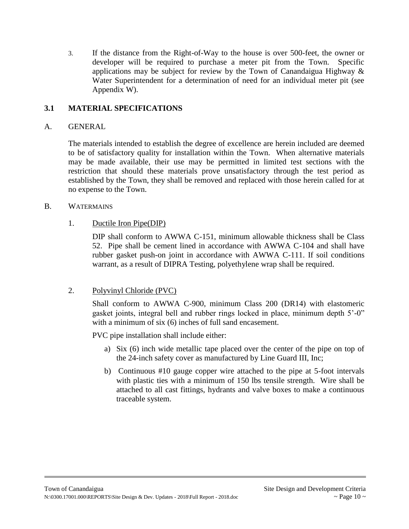3. If the distance from the Right-of-Way to the house is over 500-feet, the owner or developer will be required to purchase a meter pit from the Town. Specific applications may be subject for review by the Town of Canandaigua Highway  $\&$ Water Superintendent for a determination of need for an individual meter pit (see Appendix W).

# **3.1 MATERIAL SPECIFICATIONS**

#### A. GENERAL

The materials intended to establish the degree of excellence are herein included are deemed to be of satisfactory quality for installation within the Town. When alternative materials may be made available, their use may be permitted in limited test sections with the restriction that should these materials prove unsatisfactory through the test period as established by the Town, they shall be removed and replaced with those herein called for at no expense to the Town.

#### B. WATERMAINS

## 1. Ductile Iron Pipe(DIP)

DIP shall conform to AWWA C-151, minimum allowable thickness shall be Class 52. Pipe shall be cement lined in accordance with AWWA C-104 and shall have rubber gasket push-on joint in accordance with AWWA C-111. If soil conditions warrant, as a result of DIPRA Testing, polyethylene wrap shall be required.

## 2. Polyvinyl Chloride (PVC)

Shall conform to AWWA C-900, minimum Class 200 (DR14) with elastomeric gasket joints, integral bell and rubber rings locked in place, minimum depth 5'-0" with a minimum of six (6) inches of full sand encasement.

PVC pipe installation shall include either:

- a) Six (6) inch wide metallic tape placed over the center of the pipe on top of the 24-inch safety cover as manufactured by Line Guard III, Inc;
- b) Continuous #10 gauge copper wire attached to the pipe at 5-foot intervals with plastic ties with a minimum of 150 lbs tensile strength. Wire shall be attached to all cast fittings, hydrants and valve boxes to make a continuous traceable system.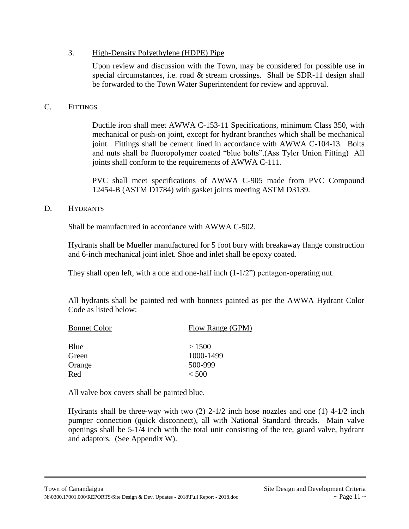## 3. High-Density Polyethylene (HDPE) Pipe

Upon review and discussion with the Town, may be considered for possible use in special circumstances, i.e. road  $\&$  stream crossings. Shall be SDR-11 design shall be forwarded to the Town Water Superintendent for review and approval.

#### C. FITTINGS

Ductile iron shall meet AWWA C-153-11 Specifications, minimum Class 350, with mechanical or push-on joint, except for hydrant branches which shall be mechanical joint. Fittings shall be cement lined in accordance with AWWA C-104-13. Bolts and nuts shall be fluoropolymer coated "blue bolts".(Ass Tyler Union Fitting) All joints shall conform to the requirements of AWWA C-111.

PVC shall meet specifications of AWWA C-905 made from PVC Compound 12454-B (ASTM D1784) with gasket joints meeting ASTM D3139.

#### D. HYDRANTS

Shall be manufactured in accordance with AWWA C-502.

Hydrants shall be Mueller manufactured for 5 foot bury with breakaway flange construction and 6-inch mechanical joint inlet. Shoe and inlet shall be epoxy coated.

They shall open left, with a one and one-half inch  $(1-1/2)$ " pentagon-operating nut.

All hydrants shall be painted red with bonnets painted as per the AWWA Hydrant Color Code as listed below:

| <b>Bonnet Color</b> | Flow Range (GPM) |  |
|---------------------|------------------|--|
| Blue                | >1500            |  |
| Green               | 1000-1499        |  |
| Orange              | 500-999          |  |
| Red                 | < 500            |  |

All valve box covers shall be painted blue.

Hydrants shall be three-way with two  $(2)$  2-1/2 inch hose nozzles and one  $(1)$  4-1/2 inch pumper connection (quick disconnect), all with National Standard threads. Main valve openings shall be 5-1/4 inch with the total unit consisting of the tee, guard valve, hydrant and adaptors. (See Appendix W).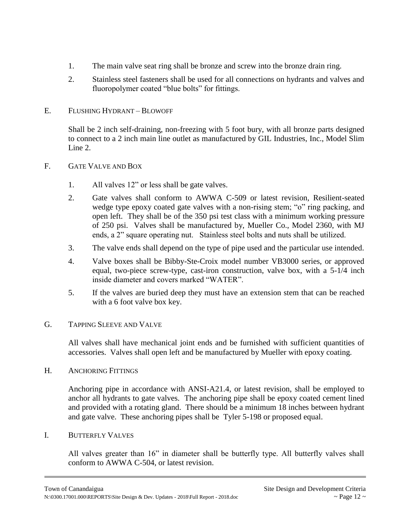- 1. The main valve seat ring shall be bronze and screw into the bronze drain ring.
- 2. Stainless steel fasteners shall be used for all connections on hydrants and valves and fluoropolymer coated "blue bolts" for fittings.

## E. FLUSHING HYDRANT – BLOWOFF

Shall be 2 inch self-draining, non-freezing with 5 foot bury, with all bronze parts designed to connect to a 2 inch main line outlet as manufactured by GIL Industries, Inc., Model Slim Line 2.

## F. GATE VALVE AND BOX

- 1. All valves 12" or less shall be gate valves.
- 2. Gate valves shall conform to AWWA C-509 or latest revision, Resilient-seated wedge type epoxy coated gate valves with a non-rising stem; "o" ring packing, and open left. They shall be of the 350 psi test class with a minimum working pressure of 250 psi. Valves shall be manufactured by, Mueller Co., Model 2360, with MJ ends, a 2" square operating nut. Stainless steel bolts and nuts shall be utilized.
- 3. The valve ends shall depend on the type of pipe used and the particular use intended.
- 4. Valve boxes shall be Bibby-Ste-Croix model number VB3000 series, or approved equal, two-piece screw-type, cast-iron construction, valve box, with a 5-1/4 inch inside diameter and covers marked "WATER".
- 5. If the valves are buried deep they must have an extension stem that can be reached with a 6 foot valve box key.

## G. TAPPING SLEEVE AND VALVE

All valves shall have mechanical joint ends and be furnished with sufficient quantities of accessories. Valves shall open left and be manufactured by Mueller with epoxy coating.

## H. ANCHORING FITTINGS

Anchoring pipe in accordance with ANSI-A21.4, or latest revision, shall be employed to anchor all hydrants to gate valves. The anchoring pipe shall be epoxy coated cement lined and provided with a rotating gland. There should be a minimum 18 inches between hydrant and gate valve. These anchoring pipes shall be Tyler 5-198 or proposed equal.

## I. BUTTERFLY VALVES

All valves greater than 16" in diameter shall be butterfly type. All butterfly valves shall conform to AWWA C-504, or latest revision.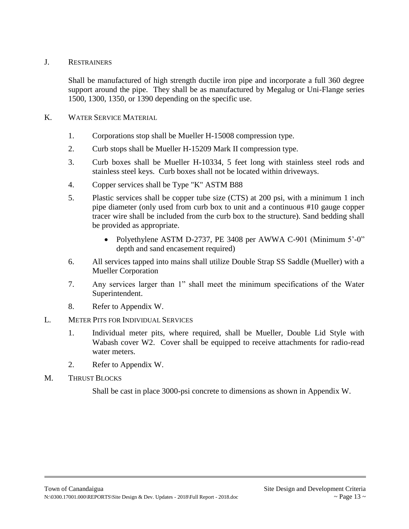## J. RESTRAINERS

Shall be manufactured of high strength ductile iron pipe and incorporate a full 360 degree support around the pipe. They shall be as manufactured by Megalug or Uni-Flange series 1500, 1300, 1350, or 1390 depending on the specific use.

#### K. WATER SERVICE MATERIAL

- 1. Corporations stop shall be Mueller H-15008 compression type.
- 2. Curb stops shall be Mueller H-15209 Mark II compression type.
- 3. Curb boxes shall be Mueller H-10334, 5 feet long with stainless steel rods and stainless steel keys. Curb boxes shall not be located within driveways.
- 4. Copper services shall be Type "K" ASTM B88
- 5. Plastic services shall be copper tube size (CTS) at 200 psi, with a minimum 1 inch pipe diameter (only used from curb box to unit and a continuous #10 gauge copper tracer wire shall be included from the curb box to the structure). Sand bedding shall be provided as appropriate.
	- Polyethylene ASTM D-2737, PE 3408 per AWWA C-901 (Minimum 5'-0" depth and sand encasement required)
- 6. All services tapped into mains shall utilize Double Strap SS Saddle (Mueller) with a Mueller Corporation
- 7. Any services larger than 1" shall meet the minimum specifications of the Water Superintendent.
- 8. Refer to Appendix W.

## L. METER PITS FOR INDIVIDUAL SERVICES

- 1. Individual meter pits, where required, shall be Mueller, Double Lid Style with Wabash cover W2. Cover shall be equipped to receive attachments for radio-read water meters.
- 2. Refer to Appendix W.

## M. THRUST BLOCKS

Shall be cast in place 3000-psi concrete to dimensions as shown in Appendix W.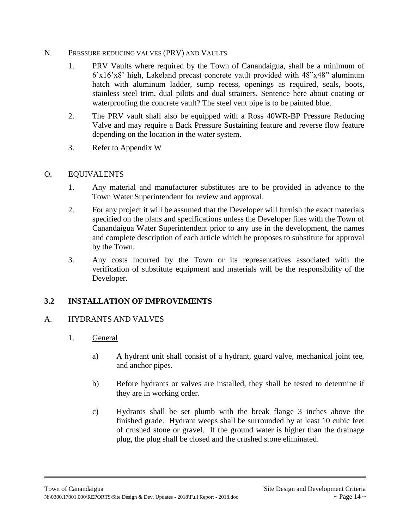- N. PRESSURE REDUCING VALVES (PRV) AND VAULTS
	- 1. PRV Vaults where required by the Town of Canandaigua, shall be a minimum of 6'x16'x8' high, Lakeland precast concrete vault provided with 48"x48" aluminum hatch with aluminum ladder, sump recess, openings as required, seals, boots, stainless steel trim, dual pilots and dual strainers. Sentence here about coating or waterproofing the concrete vault? The steel vent pipe is to be painted blue.
	- 2. The PRV vault shall also be equipped with a Ross 40WR-BP Pressure Reducing Valve and may require a Back Pressure Sustaining feature and reverse flow feature depending on the location in the water system.
	- 3. Refer to Appendix W

## O. EQUIVALENTS

- 1. Any material and manufacturer substitutes are to be provided in advance to the Town Water Superintendent for review and approval.
- 2. For any project it will be assumed that the Developer will furnish the exact materials specified on the plans and specifications unless the Developer files with the Town of Canandaigua Water Superintendent prior to any use in the development, the names and complete description of each article which he proposes to substitute for approval by the Town.
- 3. Any costs incurred by the Town or its representatives associated with the verification of substitute equipment and materials will be the responsibility of the Developer.

# **3.2 INSTALLATION OF IMPROVEMENTS**

## A. HYDRANTS AND VALVES

- 1. General
	- a) A hydrant unit shall consist of a hydrant, guard valve, mechanical joint tee, and anchor pipes.
	- b) Before hydrants or valves are installed, they shall be tested to determine if they are in working order.
	- c) Hydrants shall be set plumb with the break flange 3 inches above the finished grade. Hydrant weeps shall be surrounded by at least 10 cubic feet of crushed stone or gravel. If the ground water is higher than the drainage plug, the plug shall be closed and the crushed stone eliminated.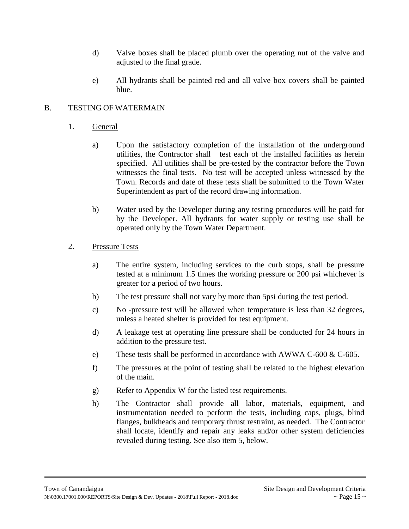- d) Valve boxes shall be placed plumb over the operating nut of the valve and adjusted to the final grade.
- e) All hydrants shall be painted red and all valve box covers shall be painted blue.

## B. TESTING OF WATERMAIN

- 1. General
	- a) Upon the satisfactory completion of the installation of the underground utilities, the Contractor shall test each of the installed facilities as herein specified. All utilities shall be pre-tested by the contractor before the Town witnesses the final tests. No test will be accepted unless witnessed by the Town. Records and date of these tests shall be submitted to the Town Water Superintendent as part of the record drawing information.
	- b) Water used by the Developer during any testing procedures will be paid for by the Developer. All hydrants for water supply or testing use shall be operated only by the Town Water Department.
- 2. Pressure Tests
	- a) The entire system, including services to the curb stops, shall be pressure tested at a minimum 1.5 times the working pressure or 200 psi whichever is greater for a period of two hours.
	- b) The test pressure shall not vary by more than 5psi during the test period.
	- c) No -pressure test will be allowed when temperature is less than 32 degrees, unless a heated shelter is provided for test equipment.
	- d) A leakage test at operating line pressure shall be conducted for 24 hours in addition to the pressure test.
	- e) These tests shall be performed in accordance with AWWA C-600 & C-605.
	- f) The pressures at the point of testing shall be related to the highest elevation of the main.
	- g) Refer to Appendix W for the listed test requirements.
	- h) The Contractor shall provide all labor, materials, equipment, and instrumentation needed to perform the tests, including caps, plugs, blind flanges, bulkheads and temporary thrust restraint, as needed. The Contractor shall locate, identify and repair any leaks and/or other system deficiencies revealed during testing. See also item 5, below.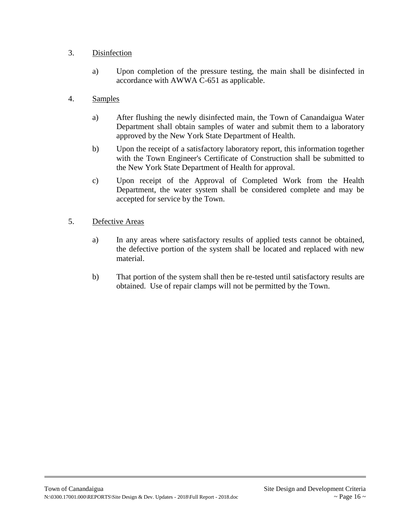## 3. Disinfection

- a) Upon completion of the pressure testing, the main shall be disinfected in accordance with AWWA C-651 as applicable.
- 4. Samples
	- a) After flushing the newly disinfected main, the Town of Canandaigua Water Department shall obtain samples of water and submit them to a laboratory approved by the New York State Department of Health.
	- b) Upon the receipt of a satisfactory laboratory report, this information together with the Town Engineer's Certificate of Construction shall be submitted to the New York State Department of Health for approval.
	- c) Upon receipt of the Approval of Completed Work from the Health Department, the water system shall be considered complete and may be accepted for service by the Town.
- 5. Defective Areas
	- a) In any areas where satisfactory results of applied tests cannot be obtained, the defective portion of the system shall be located and replaced with new material.
	- b) That portion of the system shall then be re-tested until satisfactory results are obtained. Use of repair clamps will not be permitted by the Town.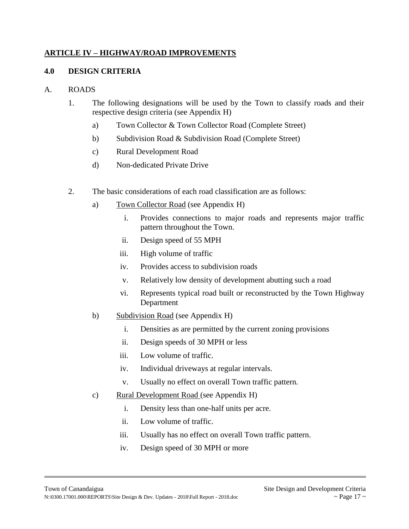## **ARTICLE IV – HIGHWAY/ROAD IMPROVEMENTS**

## **4.0 DESIGN CRITERIA**

#### A. ROADS

- 1. The following designations will be used by the Town to classify roads and their respective design criteria (see Appendix H)
	- a) Town Collector & Town Collector Road (Complete Street)
	- b) Subdivision Road & Subdivision Road (Complete Street)
	- c) Rural Development Road
	- d) Non-dedicated Private Drive
- 2. The basic considerations of each road classification are as follows:
	- a) Town Collector Road (see Appendix H)
		- i. Provides connections to major roads and represents major traffic pattern throughout the Town.
		- ii. Design speed of 55 MPH
		- iii. High volume of traffic
		- iv. Provides access to subdivision roads
		- v. Relatively low density of development abutting such a road
		- vi. Represents typical road built or reconstructed by the Town Highway Department
	- b) Subdivision Road (see Appendix H)
		- i. Densities as are permitted by the current zoning provisions
		- ii. Design speeds of 30 MPH or less
		- iii. Low volume of traffic.
		- iv. Individual driveways at regular intervals.
		- v. Usually no effect on overall Town traffic pattern.
	- c) Rural Development Road (see Appendix H)
		- i. Density less than one-half units per acre.
		- ii. Low volume of traffic.
		- iii. Usually has no effect on overall Town traffic pattern.
		- iv. Design speed of 30 MPH or more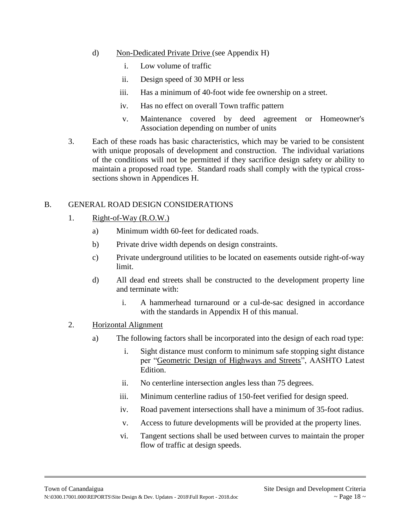- d) Non-Dedicated Private Drive (see Appendix H)
	- i. Low volume of traffic
	- ii. Design speed of 30 MPH or less
	- iii. Has a minimum of 40-foot wide fee ownership on a street.
	- iv. Has no effect on overall Town traffic pattern
	- v. Maintenance covered by deed agreement or Homeowner's Association depending on number of units
- 3. Each of these roads has basic characteristics, which may be varied to be consistent with unique proposals of development and construction. The individual variations of the conditions will not be permitted if they sacrifice design safety or ability to maintain a proposed road type. Standard roads shall comply with the typical crosssections shown in Appendices H.

## B. GENERAL ROAD DESIGN CONSIDERATIONS

- 1. Right-of-Way (R.O.W.)
	- a) Minimum width 60-feet for dedicated roads.
	- b) Private drive width depends on design constraints.
	- c) Private underground utilities to be located on easements outside right-of-way limit.
	- d) All dead end streets shall be constructed to the development property line and terminate with:
		- i. A hammerhead turnaround or a cul-de-sac designed in accordance with the standards in Appendix H of this manual.
- 2. Horizontal Alignment
	- a) The following factors shall be incorporated into the design of each road type:
		- i. Sight distance must conform to minimum safe stopping sight distance per "Geometric Design of Highways and Streets", AASHTO Latest Edition.
		- ii. No centerline intersection angles less than 75 degrees.
		- iii. Minimum centerline radius of 150-feet verified for design speed.
		- iv. Road pavement intersections shall have a minimum of 35-foot radius.
		- v. Access to future developments will be provided at the property lines.
		- vi. Tangent sections shall be used between curves to maintain the proper flow of traffic at design speeds.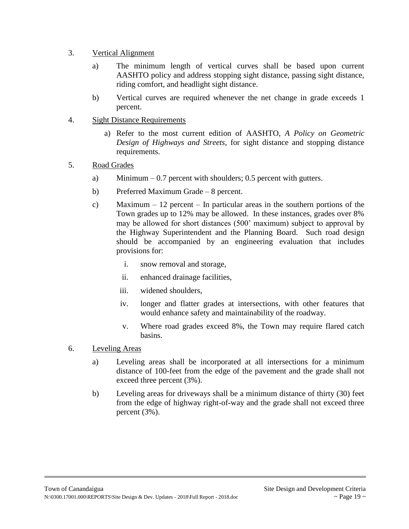- 3. Vertical Alignment
	- a) The minimum length of vertical curves shall be based upon current AASHTO policy and address stopping sight distance, passing sight distance, riding comfort, and headlight sight distance.
	- b) Vertical curves are required whenever the net change in grade exceeds 1 percent.
- 4. Sight Distance Requirements
	- a) Refer to the most current edition of AASHTO, *A Policy on Geometric Design of Highways and Streets,* for sight distance and stopping distance requirements.
- 5. Road Grades
	- a) Minimum  $-0.7$  percent with shoulders; 0.5 percent with gutters.
	- b) Preferred Maximum Grade 8 percent.
	- c) Maximum  $-12$  percent In particular areas in the southern portions of the Town grades up to 12% may be allowed. In these instances, grades over 8% may be allowed for short distances (500' maximum) subject to approval by the Highway Superintendent and the Planning Board. Such road design should be accompanied by an engineering evaluation that includes provisions for:
		- i. snow removal and storage,
		- ii. enhanced drainage facilities,
		- iii. widened shoulders,
		- iv. longer and flatter grades at intersections, with other features that would enhance safety and maintainability of the roadway.
		- v. Where road grades exceed 8%, the Town may require flared catch basins.
- 6. Leveling Areas
	- a) Leveling areas shall be incorporated at all intersections for a minimum distance of 100-feet from the edge of the pavement and the grade shall not exceed three percent (3%).
	- b) Leveling areas for driveways shall be a minimum distance of thirty (30) feet from the edge of highway right-of-way and the grade shall not exceed three percent (3%).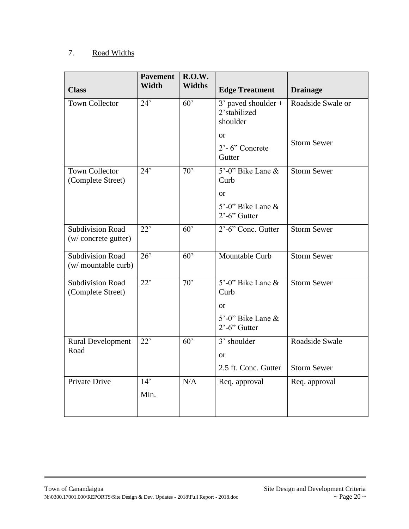# 7. Road Widths

| <b>Class</b>                                    | <b>Pavement</b><br>Width | <b>R.O.W.</b><br><b>Widths</b> | <b>Edge Treatment</b>                                                                   | <b>Drainage</b>                      |
|-------------------------------------------------|--------------------------|--------------------------------|-----------------------------------------------------------------------------------------|--------------------------------------|
| <b>Town Collector</b>                           | 24'                      | 60'                            | 3' paved shoulder +<br>2'stabilized<br>shoulder                                         | Roadside Swale or                    |
|                                                 |                          |                                | <b>or</b><br>$2^{\degree}$ - 6" Concrete<br>Gutter                                      | <b>Storm Sewer</b>                   |
| <b>Town Collector</b><br>(Complete Street)      | 24'                      | $\overline{70}$                | 5'-0" Bike Lane &<br>Curb                                                               | <b>Storm Sewer</b>                   |
|                                                 |                          |                                | <b>or</b><br>5'-0" Bike Lane &<br>$2^{\degree}$ -6" Gutter                              |                                      |
| <b>Subdivision Road</b><br>(w/ concrete gutter) | 22'                      | 60'                            | 2'-6" Conc. Gutter                                                                      | <b>Storm Sewer</b>                   |
| Subdivision Road<br>(w/ mountable curb)         | $\overline{26}$          | $\overline{60}$                | Mountable Curb                                                                          | <b>Storm Sewer</b>                   |
| Subdivision Road<br>(Complete Street)           | $\overline{22}$          | $\overline{70}$                | 5'-0" Bike Lane &<br>Curb<br><b>or</b><br>5'-0" Bike Lane &<br>$2^{\degree}$ -6" Gutter | <b>Storm Sewer</b>                   |
| <b>Rural Development</b><br>Road                | 22'                      | $\overline{60}$                | 3' shoulder<br><b>or</b><br>2.5 ft. Conc. Gutter                                        | Roadside Swale<br><b>Storm Sewer</b> |
| Private Drive                                   | 14'<br>Min.              | N/A                            | Req. approval                                                                           | Req. approval                        |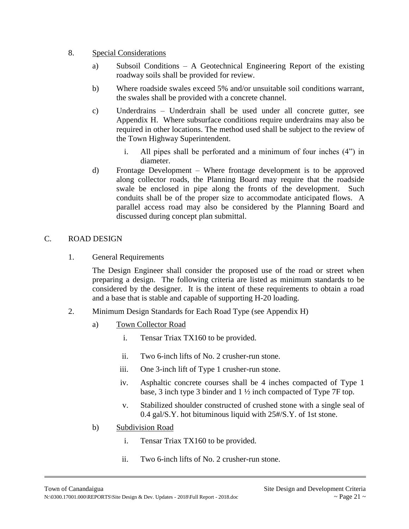#### 8. Special Considerations

- a) Subsoil Conditions A Geotechnical Engineering Report of the existing roadway soils shall be provided for review.
- b) Where roadside swales exceed 5% and/or unsuitable soil conditions warrant, the swales shall be provided with a concrete channel.
- c) Underdrains Underdrain shall be used under all concrete gutter, see Appendix H. Where subsurface conditions require underdrains may also be required in other locations. The method used shall be subject to the review of the Town Highway Superintendent.
	- i. All pipes shall be perforated and a minimum of four inches (4") in diameter.
- d) Frontage Development Where frontage development is to be approved along collector roads, the Planning Board may require that the roadside swale be enclosed in pipe along the fronts of the development. Such conduits shall be of the proper size to accommodate anticipated flows. A parallel access road may also be considered by the Planning Board and discussed during concept plan submittal.

## C. ROAD DESIGN

1. General Requirements

The Design Engineer shall consider the proposed use of the road or street when preparing a design. The following criteria are listed as minimum standards to be considered by the designer. It is the intent of these requirements to obtain a road and a base that is stable and capable of supporting H-20 loading.

- 2. Minimum Design Standards for Each Road Type (see Appendix H)
	- a) Town Collector Road
		- i. Tensar Triax TX160 to be provided.
		- ii. Two 6-inch lifts of No. 2 crusher-run stone.
		- iii. One 3-inch lift of Type 1 crusher-run stone.
		- iv. Asphaltic concrete courses shall be 4 inches compacted of Type 1 base, 3 inch type 3 binder and 1 ½ inch compacted of Type 7F top.
		- v. Stabilized shoulder constructed of crushed stone with a single seal of 0.4 gal/S.Y. hot bituminous liquid with 25#/S.Y. of 1st stone.
	- b) Subdivision Road
		- i. Tensar Triax TX160 to be provided.
		- ii. Two 6-inch lifts of No. 2 crusher-run stone.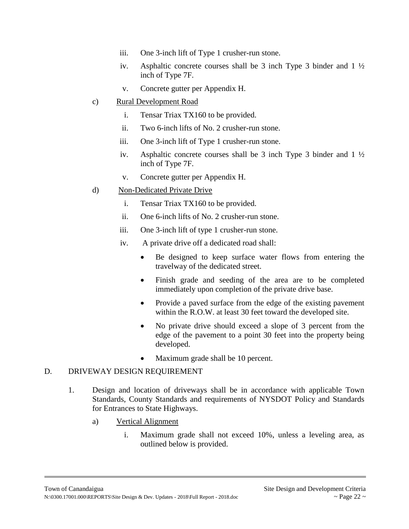- iii. One 3-inch lift of Type 1 crusher-run stone.
- iv. Asphaltic concrete courses shall be 3 inch Type 3 binder and 1 ½ inch of Type 7F.
- v. Concrete gutter per Appendix H.
- c) Rural Development Road
	- i. Tensar Triax TX160 to be provided.
	- ii. Two 6-inch lifts of No. 2 crusher-run stone.
	- iii. One 3-inch lift of Type 1 crusher-run stone.
	- iv. Asphaltic concrete courses shall be 3 inch Type 3 binder and 1 ½ inch of Type 7F.
	- v. Concrete gutter per Appendix H.
- d) Non-Dedicated Private Drive
	- i. Tensar Triax TX160 to be provided.
	- ii. One 6-inch lifts of No. 2 crusher-run stone.
	- iii. One 3-inch lift of type 1 crusher-run stone.
	- iv. A private drive off a dedicated road shall:
		- Be designed to keep surface water flows from entering the travelway of the dedicated street.
		- Finish grade and seeding of the area are to be completed immediately upon completion of the private drive base.
		- Provide a paved surface from the edge of the existing pavement within the R.O.W. at least 30 feet toward the developed site.
		- No private drive should exceed a slope of 3 percent from the edge of the pavement to a point 30 feet into the property being developed.
		- Maximum grade shall be 10 percent.

## D. DRIVEWAY DESIGN REQUIREMENT

- 1. Design and location of driveways shall be in accordance with applicable Town Standards, County Standards and requirements of NYSDOT Policy and Standards for Entrances to State Highways.
	- a) Vertical Alignment
		- i. Maximum grade shall not exceed 10%, unless a leveling area, as outlined below is provided.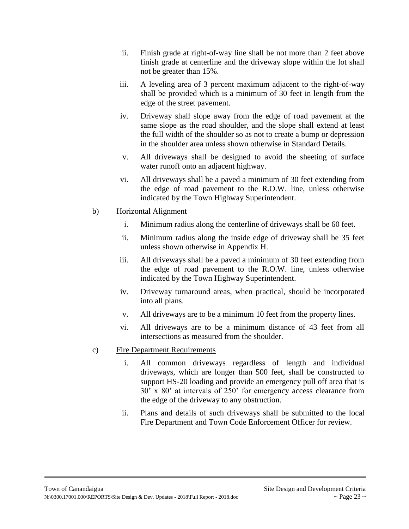- ii. Finish grade at right-of-way line shall be not more than 2 feet above finish grade at centerline and the driveway slope within the lot shall not be greater than 15%.
- iii. A leveling area of 3 percent maximum adjacent to the right-of-way shall be provided which is a minimum of 30 feet in length from the edge of the street pavement.
- iv. Driveway shall slope away from the edge of road pavement at the same slope as the road shoulder, and the slope shall extend at least the full width of the shoulder so as not to create a bump or depression in the shoulder area unless shown otherwise in Standard Details.
- v. All driveways shall be designed to avoid the sheeting of surface water runoff onto an adjacent highway.
- vi. All driveways shall be a paved a minimum of 30 feet extending from the edge of road pavement to the R.O.W. line, unless otherwise indicated by the Town Highway Superintendent.
- b) Horizontal Alignment
	- i. Minimum radius along the centerline of driveways shall be 60 feet.
	- ii. Minimum radius along the inside edge of driveway shall be 35 feet unless shown otherwise in Appendix H.
	- iii. All driveways shall be a paved a minimum of 30 feet extending from the edge of road pavement to the R.O.W. line, unless otherwise indicated by the Town Highway Superintendent.
	- iv. Driveway turnaround areas, when practical, should be incorporated into all plans.
	- v. All driveways are to be a minimum 10 feet from the property lines.
	- vi. All driveways are to be a minimum distance of 43 feet from all intersections as measured from the shoulder.
- c) Fire Department Requirements
	- i. All common driveways regardless of length and individual driveways, which are longer than 500 feet, shall be constructed to support HS-20 loading and provide an emergency pull off area that is 30' x 80' at intervals of 250' for emergency access clearance from the edge of the driveway to any obstruction.
	- ii. Plans and details of such driveways shall be submitted to the local Fire Department and Town Code Enforcement Officer for review.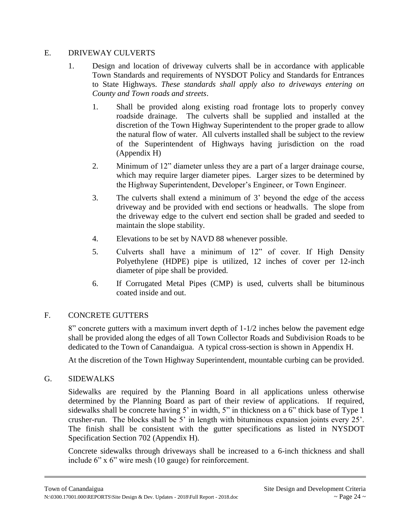## E. DRIVEWAY CULVERTS

- 1. Design and location of driveway culverts shall be in accordance with applicable Town Standards and requirements of NYSDOT Policy and Standards for Entrances to State Highways. *These standards shall apply also to driveways entering on County and Town roads and streets*.
	- 1. Shall be provided along existing road frontage lots to properly convey roadside drainage. The culverts shall be supplied and installed at the discretion of the Town Highway Superintendent to the proper grade to allow the natural flow of water. All culverts installed shall be subject to the review of the Superintendent of Highways having jurisdiction on the road (Appendix H)
	- 2. Minimum of 12" diameter unless they are a part of a larger drainage course, which may require larger diameter pipes. Larger sizes to be determined by the Highway Superintendent, Developer's Engineer, or Town Engineer.
	- 3. The culverts shall extend a minimum of 3' beyond the edge of the access driveway and be provided with end sections or headwalls. The slope from the driveway edge to the culvert end section shall be graded and seeded to maintain the slope stability.
	- 4. Elevations to be set by NAVD 88 whenever possible.
	- 5. Culverts shall have a minimum of 12" of cover. If High Density Polyethylene (HDPE) pipe is utilized, 12 inches of cover per 12-inch diameter of pipe shall be provided.
	- 6. If Corrugated Metal Pipes (CMP) is used, culverts shall be bituminous coated inside and out.

# F. CONCRETE GUTTERS

8" concrete gutters with a maximum invert depth of 1-1/2 inches below the pavement edge shall be provided along the edges of all Town Collector Roads and Subdivision Roads to be dedicated to the Town of Canandaigua. A typical cross-section is shown in Appendix H.

At the discretion of the Town Highway Superintendent, mountable curbing can be provided.

## G. SIDEWALKS

Sidewalks are required by the Planning Board in all applications unless otherwise determined by the Planning Board as part of their review of applications. If required, sidewalks shall be concrete having 5' in width, 5" in thickness on a 6" thick base of Type 1 crusher-run. The blocks shall be 5' in length with bituminous expansion joints every 25'. The finish shall be consistent with the gutter specifications as listed in NYSDOT Specification Section 702 (Appendix H).

Concrete sidewalks through driveways shall be increased to a 6-inch thickness and shall include 6" x 6" wire mesh (10 gauge) for reinforcement.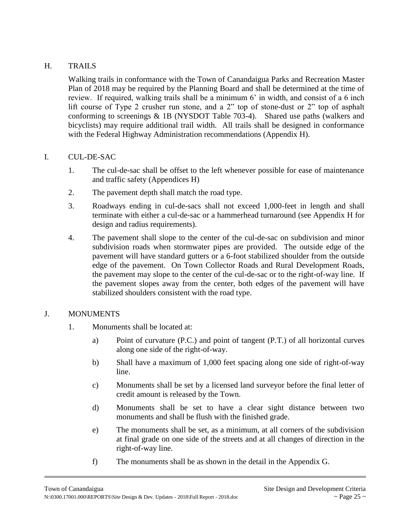# H. TRAILS

Walking trails in conformance with the Town of Canandaigua Parks and Recreation Master Plan of 2018 may be required by the Planning Board and shall be determined at the time of review. If required, walking trails shall be a minimum 6' in width, and consist of a 6 inch lift course of Type 2 crusher run stone, and a 2" top of stone-dust or 2" top of asphalt conforming to screenings & 1B (NYSDOT Table 703-4). Shared use paths (walkers and bicyclists) may require additional trail width. All trails shall be designed in conformance with the Federal Highway Administration recommendations (Appendix H).

## I. CUL-DE-SAC

- 1. The cul-de-sac shall be offset to the left whenever possible for ease of maintenance and traffic safety (Appendices H)
- 2. The pavement depth shall match the road type.
- 3. Roadways ending in cul-de-sacs shall not exceed 1,000-feet in length and shall terminate with either a cul-de-sac or a hammerhead turnaround (see Appendix H for design and radius requirements).
- 4. The pavement shall slope to the center of the cul-de-sac on subdivision and minor subdivision roads when stormwater pipes are provided. The outside edge of the pavement will have standard gutters or a 6-foot stabilized shoulder from the outside edge of the pavement. On Town Collector Roads and Rural Development Roads, the pavement may slope to the center of the cul-de-sac or to the right-of-way line. If the pavement slopes away from the center, both edges of the pavement will have stabilized shoulders consistent with the road type.

## J. MONUMENTS

- 1. Monuments shall be located at:
	- a) Point of curvature (P.C.) and point of tangent (P.T.) of all horizontal curves along one side of the right-of-way.
	- b) Shall have a maximum of 1,000 feet spacing along one side of right-of-way line.
	- c) Monuments shall be set by a licensed land surveyor before the final letter of credit amount is released by the Town.
	- d) Monuments shall be set to have a clear sight distance between two monuments and shall be flush with the finished grade.
	- e) The monuments shall be set, as a minimum, at all corners of the subdivision at final grade on one side of the streets and at all changes of direction in the right-of-way line.
	- f) The monuments shall be as shown in the detail in the Appendix G.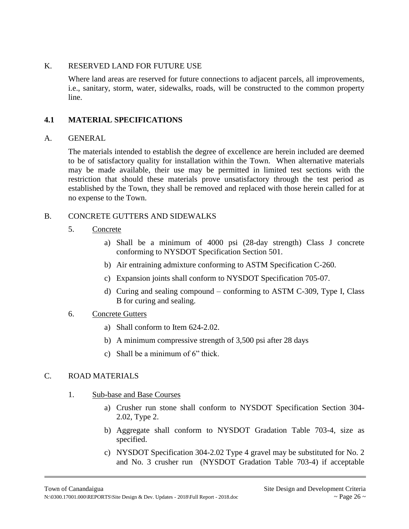## K. RESERVED LAND FOR FUTURE USE

Where land areas are reserved for future connections to adjacent parcels, all improvements, i.e., sanitary, storm, water, sidewalks, roads, will be constructed to the common property line.

# **4.1 MATERIAL SPECIFICATIONS**

## A. GENERAL

The materials intended to establish the degree of excellence are herein included are deemed to be of satisfactory quality for installation within the Town. When alternative materials may be made available, their use may be permitted in limited test sections with the restriction that should these materials prove unsatisfactory through the test period as established by the Town, they shall be removed and replaced with those herein called for at no expense to the Town.

## B. CONCRETE GUTTERS AND SIDEWALKS

- 5. Concrete
	- a) Shall be a minimum of 4000 psi (28-day strength) Class J concrete conforming to NYSDOT Specification Section 501.
	- b) Air entraining admixture conforming to ASTM Specification C-260.
	- c) Expansion joints shall conform to NYSDOT Specification 705-07.
	- d) Curing and sealing compound conforming to ASTM C-309, Type I, Class B for curing and sealing.

## 6. Concrete Gutters

- a) Shall conform to Item 624-2.02.
- b) A minimum compressive strength of 3,500 psi after 28 days
- c) Shall be a minimum of 6" thick.

# C. ROAD MATERIALS

- 1. Sub-base and Base Courses
	- a) Crusher run stone shall conform to NYSDOT Specification Section 304- 2.02, Type 2.
	- b) Aggregate shall conform to NYSDOT Gradation Table 703-4, size as specified.
	- c) NYSDOT Specification 304-2.02 Type 4 gravel may be substituted for No. 2 and No. 3 crusher run (NYSDOT Gradation Table 703-4) if acceptable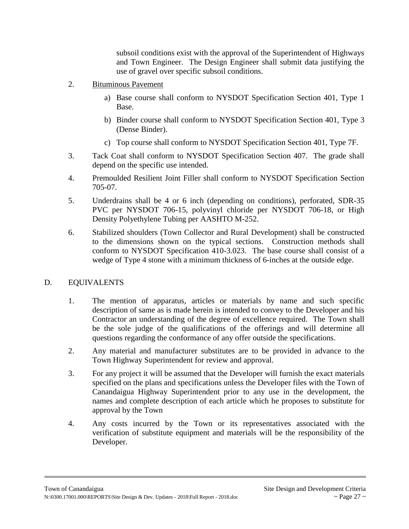subsoil conditions exist with the approval of the Superintendent of Highways and Town Engineer. The Design Engineer shall submit data justifying the use of gravel over specific subsoil conditions.

- 2. Bituminous Pavement
	- a) Base course shall conform to NYSDOT Specification Section 401, Type 1 Base.
	- b) Binder course shall conform to NYSDOT Specification Section 401, Type 3 (Dense Binder).
	- c) Top course shall conform to NYSDOT Specification Section 401, Type 7F.
- 3. Tack Coat shall conform to NYSDOT Specification Section 407. The grade shall depend on the specific use intended.
- 4. Premoulded Resilient Joint Filler shall conform to NYSDOT Specification Section 705-07.
- 5. Underdrains shall be 4 or 6 inch (depending on conditions), perforated, SDR-35 PVC per NYSDOT 706-15, polyvinyl chloride per NYSDOT 706-18, or High Density Polyethylene Tubing per AASHTO M-252.
- 6. Stabilized shoulders (Town Collector and Rural Development) shall be constructed to the dimensions shown on the typical sections. Construction methods shall conform to NYSDOT Specification 410-3.023. The base course shall consist of a wedge of Type 4 stone with a minimum thickness of 6-inches at the outside edge.

# D. EQUIVALENTS

- 1. The mention of apparatus, articles or materials by name and such specific description of same as is made herein is intended to convey to the Developer and his Contractor an understanding of the degree of excellence required. The Town shall be the sole judge of the qualifications of the offerings and will determine all questions regarding the conformance of any offer outside the specifications.
- 2. Any material and manufacturer substitutes are to be provided in advance to the Town Highway Superintendent for review and approval.
- 3. For any project it will be assumed that the Developer will furnish the exact materials specified on the plans and specifications unless the Developer files with the Town of Canandaigua Highway Superintendent prior to any use in the development, the names and complete description of each article which he proposes to substitute for approval by the Town
- 4. Any costs incurred by the Town or its representatives associated with the verification of substitute equipment and materials will be the responsibility of the Developer.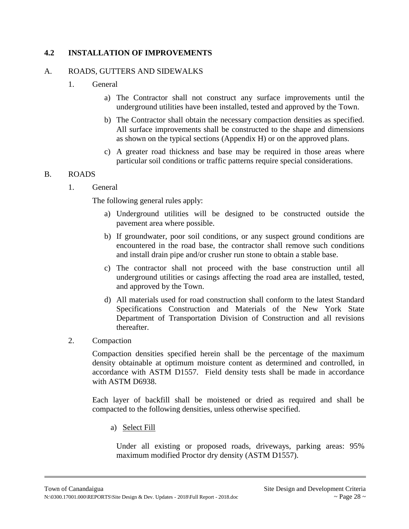## **4.2 INSTALLATION OF IMPROVEMENTS**

#### A. ROADS, GUTTERS AND SIDEWALKS

- 1. General
	- a) The Contractor shall not construct any surface improvements until the underground utilities have been installed, tested and approved by the Town.
	- b) The Contractor shall obtain the necessary compaction densities as specified. All surface improvements shall be constructed to the shape and dimensions as shown on the typical sections (Appendix H) or on the approved plans.
	- c) A greater road thickness and base may be required in those areas where particular soil conditions or traffic patterns require special considerations.

#### B. ROADS

1. General

The following general rules apply:

- a) Underground utilities will be designed to be constructed outside the pavement area where possible.
- b) If groundwater, poor soil conditions, or any suspect ground conditions are encountered in the road base, the contractor shall remove such conditions and install drain pipe and/or crusher run stone to obtain a stable base.
- c) The contractor shall not proceed with the base construction until all underground utilities or casings affecting the road area are installed, tested, and approved by the Town.
- d) All materials used for road construction shall conform to the latest Standard Specifications Construction and Materials of the New York State Department of Transportation Division of Construction and all revisions thereafter.
- 2. Compaction

Compaction densities specified herein shall be the percentage of the maximum density obtainable at optimum moisture content as determined and controlled, in accordance with ASTM D1557. Field density tests shall be made in accordance with ASTM D6938.

Each layer of backfill shall be moistened or dried as required and shall be compacted to the following densities, unless otherwise specified.

a) Select Fill

Under all existing or proposed roads, driveways, parking areas: 95% maximum modified Proctor dry density (ASTM D1557).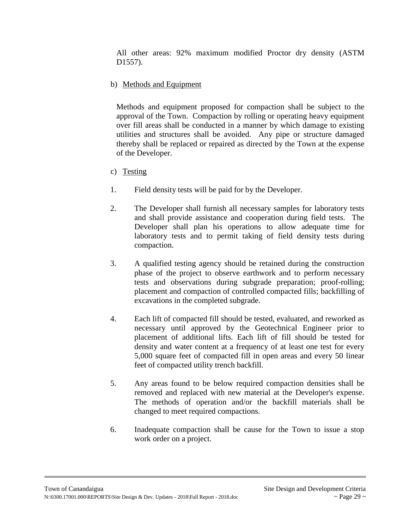All other areas: 92% maximum modified Proctor dry density (ASTM D1557).

# b) Methods and Equipment

Methods and equipment proposed for compaction shall be subject to the approval of the Town. Compaction by rolling or operating heavy equipment over fill areas shall be conducted in a manner by which damage to existing utilities and structures shall be avoided. Any pipe or structure damaged thereby shall be replaced or repaired as directed by the Town at the expense of the Developer.

- c) Testing
- 1. Field density tests will be paid for by the Developer.
- 2. The Developer shall furnish all necessary samples for laboratory tests and shall provide assistance and cooperation during field tests. The Developer shall plan his operations to allow adequate time for laboratory tests and to permit taking of field density tests during compaction.
- 3. A qualified testing agency should be retained during the construction phase of the project to observe earthwork and to perform necessary tests and observations during subgrade preparation; proof-rolling; placement and compaction of controlled compacted fills; backfilling of excavations in the completed subgrade.
- 4. Each lift of compacted fill should be tested, evaluated, and reworked as necessary until approved by the Geotechnical Engineer prior to placement of additional lifts. Each lift of fill should be tested for density and water content at a frequency of at least one test for every 5,000 square feet of compacted fill in open areas and every 50 linear feet of compacted utility trench backfill.
- 5. Any areas found to be below required compaction densities shall be removed and replaced with new material at the Developer's expense. The methods of operation and/or the backfill materials shall be changed to meet required compactions.
- 6. Inadequate compaction shall be cause for the Town to issue a stop work order on a project.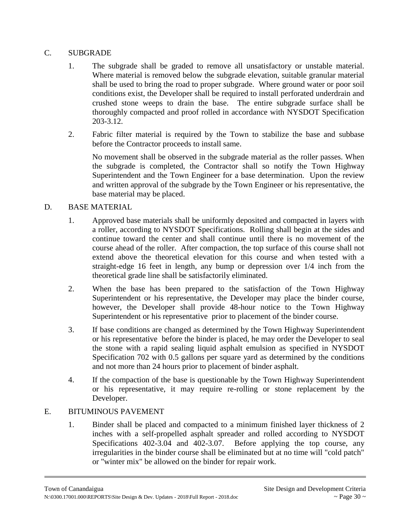## C. SUBGRADE

- 1. The subgrade shall be graded to remove all unsatisfactory or unstable material. Where material is removed below the subgrade elevation, suitable granular material shall be used to bring the road to proper subgrade. Where ground water or poor soil conditions exist, the Developer shall be required to install perforated underdrain and crushed stone weeps to drain the base. The entire subgrade surface shall be thoroughly compacted and proof rolled in accordance with NYSDOT Specification 203-3.12.
- 2. Fabric filter material is required by the Town to stabilize the base and subbase before the Contractor proceeds to install same.

No movement shall be observed in the subgrade material as the roller passes. When the subgrade is completed, the Contractor shall so notify the Town Highway Superintendent and the Town Engineer for a base determination. Upon the review and written approval of the subgrade by the Town Engineer or his representative, the base material may be placed.

## D. BASE MATERIAL

- 1. Approved base materials shall be uniformly deposited and compacted in layers with a roller, according to NYSDOT Specifications. Rolling shall begin at the sides and continue toward the center and shall continue until there is no movement of the course ahead of the roller. After compaction, the top surface of this course shall not extend above the theoretical elevation for this course and when tested with a straight-edge 16 feet in length, any bump or depression over 1/4 inch from the theoretical grade line shall be satisfactorily eliminated.
- 2. When the base has been prepared to the satisfaction of the Town Highway Superintendent or his representative, the Developer may place the binder course, however, the Developer shall provide 48-hour notice to the Town Highway Superintendent or his representative prior to placement of the binder course.
- 3. If base conditions are changed as determined by the Town Highway Superintendent or his representative before the binder is placed, he may order the Developer to seal the stone with a rapid sealing liquid asphalt emulsion as specified in NYSDOT Specification 702 with 0.5 gallons per square yard as determined by the conditions and not more than 24 hours prior to placement of binder asphalt.
- 4. If the compaction of the base is questionable by the Town Highway Superintendent or his representative, it may require re-rolling or stone replacement by the Developer.

# E. BITUMINOUS PAVEMENT

1. Binder shall be placed and compacted to a minimum finished layer thickness of 2 inches with a self-propelled asphalt spreader and rolled according to NYSDOT Specifications 402-3.04 and 402-3.07. Before applying the top course, any irregularities in the binder course shall be eliminated but at no time will "cold patch" or "winter mix" be allowed on the binder for repair work.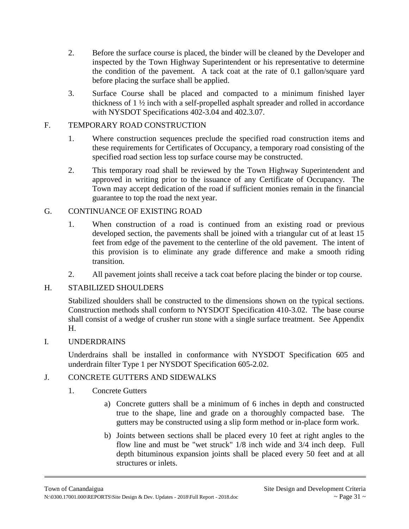- 2. Before the surface course is placed, the binder will be cleaned by the Developer and inspected by the Town Highway Superintendent or his representative to determine the condition of the pavement. A tack coat at the rate of 0.1 gallon/square yard before placing the surface shall be applied.
- 3. Surface Course shall be placed and compacted to a minimum finished layer thickness of 1 ½ inch with a self-propelled asphalt spreader and rolled in accordance with NYSDOT Specifications 402-3.04 and 402.3.07.

## F. TEMPORARY ROAD CONSTRUCTION

- 1. Where construction sequences preclude the specified road construction items and these requirements for Certificates of Occupancy, a temporary road consisting of the specified road section less top surface course may be constructed.
- 2. This temporary road shall be reviewed by the Town Highway Superintendent and approved in writing prior to the issuance of any Certificate of Occupancy. The Town may accept dedication of the road if sufficient monies remain in the financial guarantee to top the road the next year.

## G. CONTINUANCE OF EXISTING ROAD

- 1. When construction of a road is continued from an existing road or previous developed section, the pavements shall be joined with a triangular cut of at least 15 feet from edge of the pavement to the centerline of the old pavement. The intent of this provision is to eliminate any grade difference and make a smooth riding transition.
- 2. All pavement joints shall receive a tack coat before placing the binder or top course.

## H. STABILIZED SHOULDERS

Stabilized shoulders shall be constructed to the dimensions shown on the typical sections. Construction methods shall conform to NYSDOT Specification 410-3.02. The base course shall consist of a wedge of crusher run stone with a single surface treatment. See Appendix H.

## I. UNDERDRAINS

Underdrains shall be installed in conformance with NYSDOT Specification 605 and underdrain filter Type 1 per NYSDOT Specification 605-2.02.

## J. CONCRETE GUTTERS AND SIDEWALKS

## 1. Concrete Gutters

- a) Concrete gutters shall be a minimum of 6 inches in depth and constructed true to the shape, line and grade on a thoroughly compacted base. The gutters may be constructed using a slip form method or in-place form work.
- b) Joints between sections shall be placed every 10 feet at right angles to the flow line and must be "wet struck" 1/8 inch wide and 3/4 inch deep. Full depth bituminous expansion joints shall be placed every 50 feet and at all structures or inlets.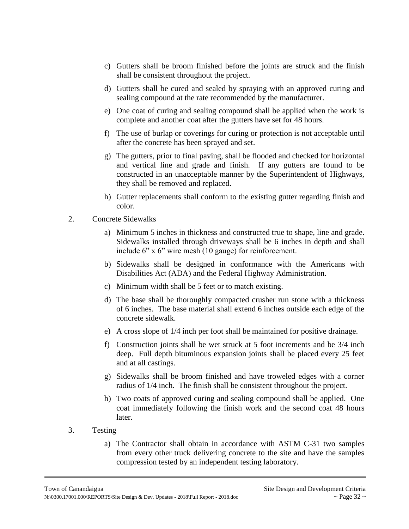- c) Gutters shall be broom finished before the joints are struck and the finish shall be consistent throughout the project.
- d) Gutters shall be cured and sealed by spraying with an approved curing and sealing compound at the rate recommended by the manufacturer.
- e) One coat of curing and sealing compound shall be applied when the work is complete and another coat after the gutters have set for 48 hours.
- f) The use of burlap or coverings for curing or protection is not acceptable until after the concrete has been sprayed and set.
- g) The gutters, prior to final paving, shall be flooded and checked for horizontal and vertical line and grade and finish. If any gutters are found to be constructed in an unacceptable manner by the Superintendent of Highways, they shall be removed and replaced.
- h) Gutter replacements shall conform to the existing gutter regarding finish and color.
- 2. Concrete Sidewalks
	- a) Minimum 5 inches in thickness and constructed true to shape, line and grade. Sidewalks installed through driveways shall be 6 inches in depth and shall include 6" x 6" wire mesh (10 gauge) for reinforcement.
	- b) Sidewalks shall be designed in conformance with the Americans with Disabilities Act (ADA) and the Federal Highway Administration.
	- c) Minimum width shall be 5 feet or to match existing.
	- d) The base shall be thoroughly compacted crusher run stone with a thickness of 6 inches. The base material shall extend 6 inches outside each edge of the concrete sidewalk.
	- e) A cross slope of 1/4 inch per foot shall be maintained for positive drainage.
	- f) Construction joints shall be wet struck at 5 foot increments and be 3/4 inch deep. Full depth bituminous expansion joints shall be placed every 25 feet and at all castings.
	- g) Sidewalks shall be broom finished and have troweled edges with a corner radius of 1/4 inch. The finish shall be consistent throughout the project.
	- h) Two coats of approved curing and sealing compound shall be applied. One coat immediately following the finish work and the second coat 48 hours later.
- 3. Testing
	- a) The Contractor shall obtain in accordance with ASTM C-31 two samples from every other truck delivering concrete to the site and have the samples compression tested by an independent testing laboratory.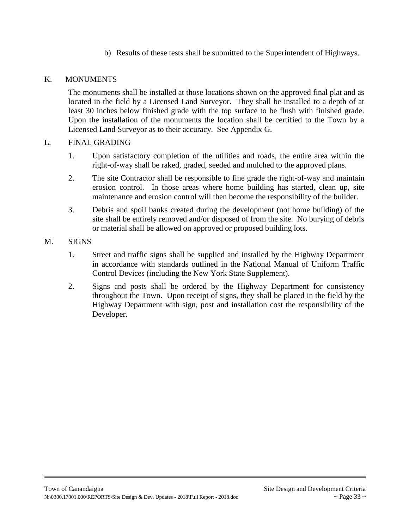b) Results of these tests shall be submitted to the Superintendent of Highways.

## K. MONUMENTS

The monuments shall be installed at those locations shown on the approved final plat and as located in the field by a Licensed Land Surveyor. They shall be installed to a depth of at least 30 inches below finished grade with the top surface to be flush with finished grade. Upon the installation of the monuments the location shall be certified to the Town by a Licensed Land Surveyor as to their accuracy. See Appendix G.

## L. FINAL GRADING

- 1. Upon satisfactory completion of the utilities and roads, the entire area within the right-of-way shall be raked, graded, seeded and mulched to the approved plans.
- 2. The site Contractor shall be responsible to fine grade the right-of-way and maintain erosion control. In those areas where home building has started, clean up, site maintenance and erosion control will then become the responsibility of the builder.
- 3. Debris and spoil banks created during the development (not home building) of the site shall be entirely removed and/or disposed of from the site. No burying of debris or material shall be allowed on approved or proposed building lots.

#### M. SIGNS

- 1. Street and traffic signs shall be supplied and installed by the Highway Department in accordance with standards outlined in the National Manual of Uniform Traffic Control Devices (including the New York State Supplement).
- 2. Signs and posts shall be ordered by the Highway Department for consistency throughout the Town. Upon receipt of signs, they shall be placed in the field by the Highway Department with sign, post and installation cost the responsibility of the Developer.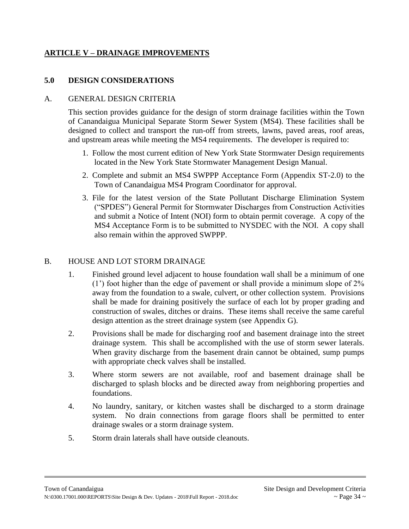# **ARTICLE V – DRAINAGE IMPROVEMENTS**

## **5.0 DESIGN CONSIDERATIONS**

#### A. GENERAL DESIGN CRITERIA

This section provides guidance for the design of storm drainage facilities within the Town of Canandaigua Municipal Separate Storm Sewer System (MS4). These facilities shall be designed to collect and transport the run-off from streets, lawns, paved areas, roof areas, and upstream areas while meeting the MS4 requirements. The developer is required to:

- 1. Follow the most current edition of New York State Stormwater Design requirements located in the New York State Stormwater Management Design Manual.
- 2. Complete and submit an MS4 SWPPP Acceptance Form (Appendix ST-2.0) to the Town of Canandaigua MS4 Program Coordinator for approval.
- 3. File for the latest version of the State Pollutant Discharge Elimination System ("SPDES") General Permit for Stormwater Discharges from Construction Activities and submit a Notice of Intent (NOI) form to obtain permit coverage. A copy of the MS4 Acceptance Form is to be submitted to NYSDEC with the NOI. A copy shall also remain within the approved SWPPP.

#### B. HOUSE AND LOT STORM DRAINAGE

- 1. Finished ground level adjacent to house foundation wall shall be a minimum of one (1') foot higher than the edge of pavement or shall provide a minimum slope of 2% away from the foundation to a swale, culvert, or other collection system. Provisions shall be made for draining positively the surface of each lot by proper grading and construction of swales, ditches or drains. These items shall receive the same careful design attention as the street drainage system (see Appendix G).
- 2. Provisions shall be made for discharging roof and basement drainage into the street drainage system. This shall be accomplished with the use of storm sewer laterals. When gravity discharge from the basement drain cannot be obtained, sump pumps with appropriate check valves shall be installed.
- 3. Where storm sewers are not available, roof and basement drainage shall be discharged to splash blocks and be directed away from neighboring properties and foundations.
- 4. No laundry, sanitary, or kitchen wastes shall be discharged to a storm drainage system. No drain connections from garage floors shall be permitted to enter drainage swales or a storm drainage system.
- 5. Storm drain laterals shall have outside cleanouts.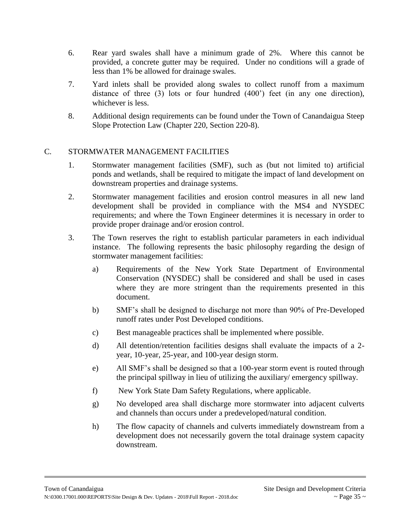- 6. Rear yard swales shall have a minimum grade of 2%. Where this cannot be provided, a concrete gutter may be required. Under no conditions will a grade of less than 1% be allowed for drainage swales.
- 7. Yard inlets shall be provided along swales to collect runoff from a maximum distance of three (3) lots or four hundred (400') feet (in any one direction), whichever is less.
- 8. Additional design requirements can be found under the Town of Canandaigua Steep Slope Protection Law (Chapter 220, Section 220-8).

## C. STORMWATER MANAGEMENT FACILITIES

- 1. Stormwater management facilities (SMF), such as (but not limited to) artificial ponds and wetlands, shall be required to mitigate the impact of land development on downstream properties and drainage systems.
- 2. Stormwater management facilities and erosion control measures in all new land development shall be provided in compliance with the MS4 and NYSDEC requirements; and where the Town Engineer determines it is necessary in order to provide proper drainage and/or erosion control.
- 3. The Town reserves the right to establish particular parameters in each individual instance. The following represents the basic philosophy regarding the design of stormwater management facilities:
	- a) Requirements of the New York State Department of Environmental Conservation (NYSDEC) shall be considered and shall be used in cases where they are more stringent than the requirements presented in this document.
	- b) SMF's shall be designed to discharge not more than 90% of Pre-Developed runoff rates under Post Developed conditions.
	- c) Best manageable practices shall be implemented where possible.
	- d) All detention/retention facilities designs shall evaluate the impacts of a 2 year, 10-year, 25-year, and 100-year design storm.
	- e) All SMF's shall be designed so that a 100-year storm event is routed through the principal spillway in lieu of utilizing the auxiliary/ emergency spillway.
	- f) New York State Dam Safety Regulations, where applicable.
	- g) No developed area shall discharge more stormwater into adjacent culverts and channels than occurs under a predeveloped/natural condition.
	- h) The flow capacity of channels and culverts immediately downstream from a development does not necessarily govern the total drainage system capacity downstream.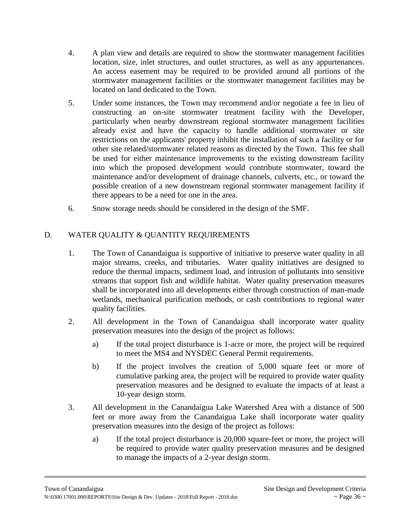- 4. A plan view and details are required to show the stormwater management facilities location, size, inlet structures, and outlet structures, as well as any appurtenances. An access easement may be required to be provided around all portions of the stormwater management facilities or the stormwater management facilities may be located on land dedicated to the Town.
- 5. Under some instances, the Town may recommend and/or negotiate a fee in lieu of constructing an on-site stormwater treatment facility with the Developer, particularly when nearby downstream regional stormwater management facilities already exist and have the capacity to handle additional stormwater or site restrictions on the applicants' property inhibit the installation of such a facility or for other site related/stormwater related reasons as directed by the Town. This fee shall be used for either maintenance improvements to the existing downstream facility into which the proposed development would contribute stormwater, toward the maintenance and/or development of drainage channels, culverts, etc., or toward the possible creation of a new downstream regional stormwater management facility if there appears to be a need for one in the area.
- 6. Snow storage needs should be considered in the design of the SMF.

# D. WATER QUALITY & QUANTITY REQUIREMENTS

- 1. The Town of Canandaigua is supportive of initiative to preserve water quality in all major streams, creeks, and tributaries. Water quality initiatives are designed to reduce the thermal impacts, sediment load, and intrusion of pollutants into sensitive streams that support fish and wildlife habitat. Water quality preservation measures shall be incorporated into all developments either through construction of man-made wetlands, mechanical purification methods, or cash contributions to regional water quality facilities.
- 2. All development in the Town of Canandaigua shall incorporate water quality preservation measures into the design of the project as follows:
	- a) If the total project disturbance is 1-acre or more, the project will be required to meet the MS4 and NYSDEC General Permit requirements.
	- b) If the project involves the creation of 5,000 square feet or more of cumulative parking area, the project will be required to provide water quality preservation measures and be designed to evaluate the impacts of at least a 10-year design storm.
- 3. All development in the Canandaigua Lake Watershed Area with a distance of 500 feet or more away from the Canandaigua Lake shall incorporate water quality preservation measures into the design of the project as follows:
	- a) If the total project disturbance is 20,000 square-feet or more, the project will be required to provide water quality preservation measures and be designed to manage the impacts of a 2-year design storm.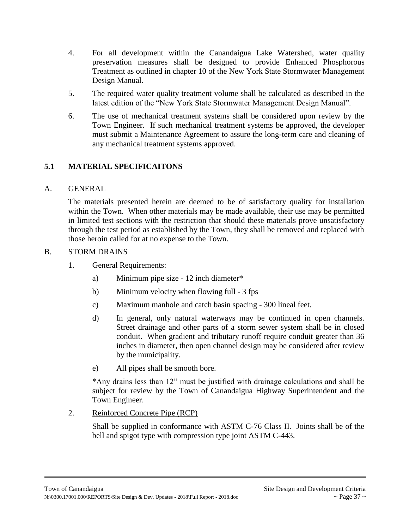- 4. For all development within the Canandaigua Lake Watershed, water quality preservation measures shall be designed to provide Enhanced Phosphorous Treatment as outlined in chapter 10 of the New York State Stormwater Management Design Manual.
- 5. The required water quality treatment volume shall be calculated as described in the latest edition of the "New York State Stormwater Management Design Manual".
- 6. The use of mechanical treatment systems shall be considered upon review by the Town Engineer. If such mechanical treatment systems be approved, the developer must submit a Maintenance Agreement to assure the long-term care and cleaning of any mechanical treatment systems approved.

# **5.1 MATERIAL SPECIFICAITONS**

## A. GENERAL

The materials presented herein are deemed to be of satisfactory quality for installation within the Town. When other materials may be made available, their use may be permitted in limited test sections with the restriction that should these materials prove unsatisfactory through the test period as established by the Town, they shall be removed and replaced with those heroin called for at no expense to the Town.

## B. STORM DRAINS

- 1. General Requirements:
	- a) Minimum pipe size 12 inch diameter\*
	- b) Minimum velocity when flowing full 3 fps
	- c) Maximum manhole and catch basin spacing 300 lineal feet.
	- d) In general, only natural waterways may be continued in open channels. Street drainage and other parts of a storm sewer system shall be in closed conduit. When gradient and tributary runoff require conduit greater than 36 inches in diameter, then open channel design may be considered after review by the municipality.
	- e) All pipes shall be smooth bore.

\*Any drains less than 12" must be justified with drainage calculations and shall be subject for review by the Town of Canandaigua Highway Superintendent and the Town Engineer.

## 2. Reinforced Concrete Pipe (RCP)

Shall be supplied in conformance with ASTM C-76 Class II. Joints shall be of the bell and spigot type with compression type joint ASTM C-443.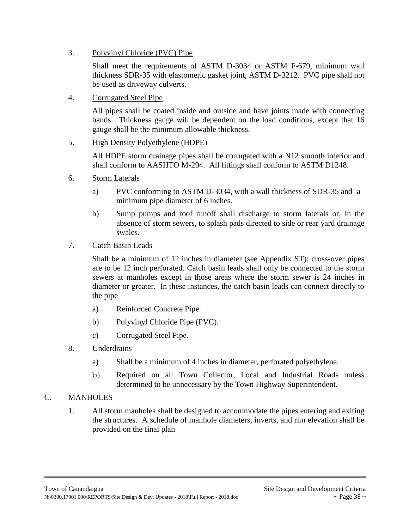3. Polyvinyl Chloride (PVC) Pipe

Shall meet the requirements of ASTM D-3034 or ASTM F-679, minimum wall thickness SDR-35 with elastomeric gasket joint, ASTM D-3212. PVC pipe shall not be used as driveway culverts.

4. Corrugated Steel Pipe

All pipes shall be coated inside and outside and have joints made with connecting bands. Thickness gauge will be dependent on the load conditions, except that 16 gauge shall be the minimum allowable thickness.

#### 5. High Density Polyethylene (HDPE)

All HDPE storm drainage pipes shall be corrugated with a N12 smooth interior and shall conform to AASHTO M-294. All fittings shall conform to ASTM D1248.

- 6. Storm Laterals
	- a) PVC conforming to ASTM D-3034, with a wall thickness of SDR-35 and a minimum pipe diameter of 6 inches.
	- b) Sump pumps and roof runoff shall discharge to storm laterals or, in the absence of storm sewers, to splash pads directed to side or rear yard drainage swales.
- 7. Catch Basin Leads

Shall be a minimum of 12 inches in diameter (see Appendix ST); cross-over pipes are to be 12 inch perforated. Catch basin leads shall only be connected to the storm sewers at manholes except in those areas where the storm sewer is 24 inches in diameter or greater. In these instances, the catch basin leads can connect directly to the pipe

- a) Reinforced Concrete Pipe.
- b) Polyvinyl Chloride Pipe (PVC).
- c) Corrugated Steel Pipe.
- 8. Underdrains
	- a) Shall be a minimum of 4 inches in diameter, perforated polyethylene.
	- b) Required on all Town Collector, Local and Industrial Roads unless determined to be unnecessary by the Town Highway Superintendent.

#### C. MANHOLES

1. All storm manholes shall be designed to accommodate the pipes entering and exiting the structures. A schedule of manhole diameters, inverts, and rim elevation shall be provided on the final plan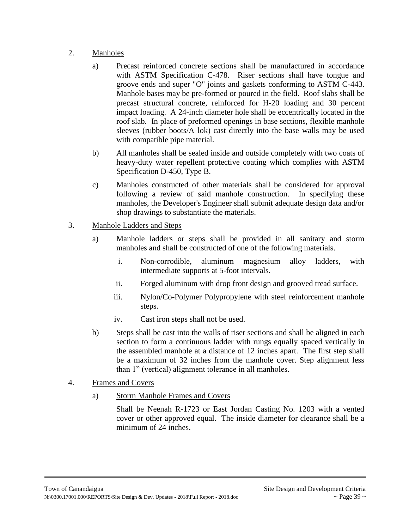# 2. Manholes

- a) Precast reinforced concrete sections shall be manufactured in accordance with ASTM Specification C-478. Riser sections shall have tongue and groove ends and super "O" joints and gaskets conforming to ASTM C-443. Manhole bases may be pre-formed or poured in the field. Roof slabs shall be precast structural concrete, reinforced for H-20 loading and 30 percent impact loading. A 24-inch diameter hole shall be eccentrically located in the roof slab. In place of preformed openings in base sections, flexible manhole sleeves (rubber boots/A lok) cast directly into the base walls may be used with compatible pipe material.
- b) All manholes shall be sealed inside and outside completely with two coats of heavy-duty water repellent protective coating which complies with ASTM Specification D-450, Type B.
- c) Manholes constructed of other materials shall be considered for approval following a review of said manhole construction. In specifying these manholes, the Developer's Engineer shall submit adequate design data and/or shop drawings to substantiate the materials.

## 3. Manhole Ladders and Steps

- a) Manhole ladders or steps shall be provided in all sanitary and storm manholes and shall be constructed of one of the following materials.
	- i. Non-corrodible, aluminum magnesium alloy ladders, with intermediate supports at 5-foot intervals.
	- ii. Forged aluminum with drop front design and grooved tread surface.
	- iii. Nylon/Co-Polymer Polypropylene with steel reinforcement manhole steps.
	- iv. Cast iron steps shall not be used.
- b) Steps shall be cast into the walls of riser sections and shall be aligned in each section to form a continuous ladder with rungs equally spaced vertically in the assembled manhole at a distance of 12 inches apart. The first step shall be a maximum of 32 inches from the manhole cover. Step alignment less than 1" (vertical) alignment tolerance in all manholes.
- 4. Frames and Covers
	- a) Storm Manhole Frames and Covers

Shall be Neenah R-1723 or East Jordan Casting No. 1203 with a vented cover or other approved equal. The inside diameter for clearance shall be a minimum of 24 inches.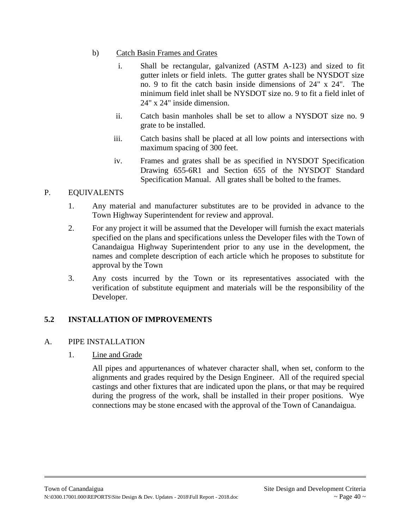- b) Catch Basin Frames and Grates
	- i. Shall be rectangular, galvanized (ASTM A-123) and sized to fit gutter inlets or field inlets. The gutter grates shall be NYSDOT size no. 9 to fit the catch basin inside dimensions of 24" x 24". The minimum field inlet shall be NYSDOT size no. 9 to fit a field inlet of 24" x 24" inside dimension.
	- ii. Catch basin manholes shall be set to allow a NYSDOT size no. 9 grate to be installed.
	- iii. Catch basins shall be placed at all low points and intersections with maximum spacing of 300 feet.
	- iv. Frames and grates shall be as specified in NYSDOT Specification Drawing 655-6R1 and Section 655 of the NYSDOT Standard Specification Manual. All grates shall be bolted to the frames.

# P. EQUIVALENTS

- 1. Any material and manufacturer substitutes are to be provided in advance to the Town Highway Superintendent for review and approval.
- 2. For any project it will be assumed that the Developer will furnish the exact materials specified on the plans and specifications unless the Developer files with the Town of Canandaigua Highway Superintendent prior to any use in the development, the names and complete description of each article which he proposes to substitute for approval by the Town
- 3. Any costs incurred by the Town or its representatives associated with the verification of substitute equipment and materials will be the responsibility of the Developer.

# **5.2 INSTALLATION OF IMPROVEMENTS**

# A. PIPE INSTALLATION

# 1. Line and Grade

All pipes and appurtenances of whatever character shall, when set, conform to the alignments and grades required by the Design Engineer. All of the required special castings and other fixtures that are indicated upon the plans, or that may be required during the progress of the work, shall be installed in their proper positions. Wye connections may be stone encased with the approval of the Town of Canandaigua.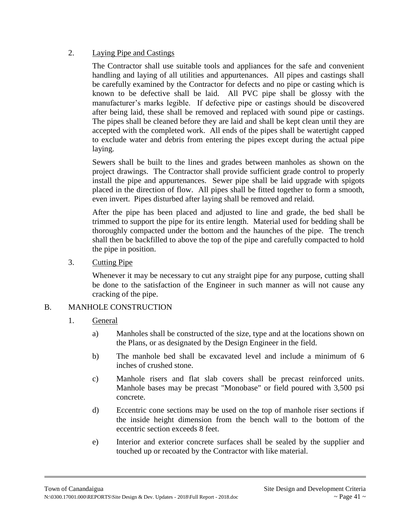## 2. Laying Pipe and Castings

The Contractor shall use suitable tools and appliances for the safe and convenient handling and laying of all utilities and appurtenances. All pipes and castings shall be carefully examined by the Contractor for defects and no pipe or casting which is known to be defective shall be laid. All PVC pipe shall be glossy with the manufacturer's marks legible. If defective pipe or castings should be discovered after being laid, these shall be removed and replaced with sound pipe or castings. The pipes shall be cleaned before they are laid and shall be kept clean until they are accepted with the completed work. All ends of the pipes shall be watertight capped to exclude water and debris from entering the pipes except during the actual pipe laying.

Sewers shall be built to the lines and grades between manholes as shown on the project drawings. The Contractor shall provide sufficient grade control to properly install the pipe and appurtenances. Sewer pipe shall be laid upgrade with spigots placed in the direction of flow. All pipes shall be fitted together to form a smooth, even invert. Pipes disturbed after laying shall be removed and relaid.

After the pipe has been placed and adjusted to line and grade, the bed shall be trimmed to support the pipe for its entire length. Material used for bedding shall be thoroughly compacted under the bottom and the haunches of the pipe. The trench shall then be backfilled to above the top of the pipe and carefully compacted to hold the pipe in position.

3. Cutting Pipe

Whenever it may be necessary to cut any straight pipe for any purpose, cutting shall be done to the satisfaction of the Engineer in such manner as will not cause any cracking of the pipe.

# B. MANHOLE CONSTRUCTION

- 1. General
	- a) Manholes shall be constructed of the size, type and at the locations shown on the Plans, or as designated by the Design Engineer in the field.
	- b) The manhole bed shall be excavated level and include a minimum of 6 inches of crushed stone.
	- c) Manhole risers and flat slab covers shall be precast reinforced units. Manhole bases may be precast "Monobase" or field poured with 3,500 psi concrete.
	- d) Eccentric cone sections may be used on the top of manhole riser sections if the inside height dimension from the bench wall to the bottom of the eccentric section exceeds 8 feet.
	- e) Interior and exterior concrete surfaces shall be sealed by the supplier and touched up or recoated by the Contractor with like material.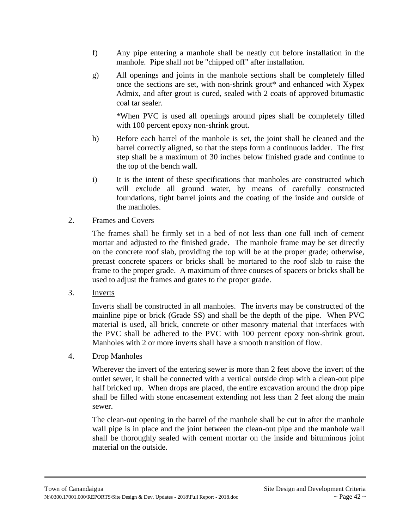- f) Any pipe entering a manhole shall be neatly cut before installation in the manhole. Pipe shall not be "chipped off" after installation.
- g) All openings and joints in the manhole sections shall be completely filled once the sections are set, with non-shrink grout\* and enhanced with Xypex Admix, and after grout is cured, sealed with 2 coats of approved bitumastic coal tar sealer.

\*When PVC is used all openings around pipes shall be completely filled with 100 percent epoxy non-shrink grout.

- h) Before each barrel of the manhole is set, the joint shall be cleaned and the barrel correctly aligned, so that the steps form a continuous ladder. The first step shall be a maximum of 30 inches below finished grade and continue to the top of the bench wall.
- i) It is the intent of these specifications that manholes are constructed which will exclude all ground water, by means of carefully constructed foundations, tight barrel joints and the coating of the inside and outside of the manholes.

## 2. Frames and Covers

The frames shall be firmly set in a bed of not less than one full inch of cement mortar and adjusted to the finished grade. The manhole frame may be set directly on the concrete roof slab, providing the top will be at the proper grade; otherwise, precast concrete spacers or bricks shall be mortared to the roof slab to raise the frame to the proper grade. A maximum of three courses of spacers or bricks shall be used to adjust the frames and grates to the proper grade.

3. Inverts

Inverts shall be constructed in all manholes. The inverts may be constructed of the mainline pipe or brick (Grade SS) and shall be the depth of the pipe. When PVC material is used, all brick, concrete or other masonry material that interfaces with the PVC shall be adhered to the PVC with 100 percent epoxy non-shrink grout. Manholes with 2 or more inverts shall have a smooth transition of flow.

4. Drop Manholes

Wherever the invert of the entering sewer is more than 2 feet above the invert of the outlet sewer, it shall be connected with a vertical outside drop with a clean-out pipe half bricked up. When drops are placed, the entire excavation around the drop pipe shall be filled with stone encasement extending not less than 2 feet along the main sewer.

The clean-out opening in the barrel of the manhole shall be cut in after the manhole wall pipe is in place and the joint between the clean-out pipe and the manhole wall shall be thoroughly sealed with cement mortar on the inside and bituminous joint material on the outside.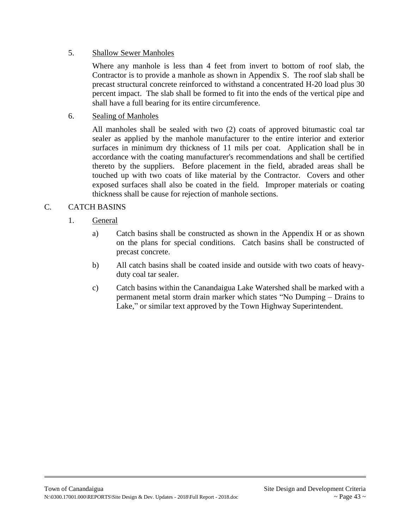## 5. Shallow Sewer Manholes

Where any manhole is less than 4 feet from invert to bottom of roof slab, the Contractor is to provide a manhole as shown in Appendix S. The roof slab shall be precast structural concrete reinforced to withstand a concentrated H-20 load plus 30 percent impact. The slab shall be formed to fit into the ends of the vertical pipe and shall have a full bearing for its entire circumference.

# 6. Sealing of Manholes

All manholes shall be sealed with two (2) coats of approved bitumastic coal tar sealer as applied by the manhole manufacturer to the entire interior and exterior surfaces in minimum dry thickness of 11 mils per coat. Application shall be in accordance with the coating manufacturer's recommendations and shall be certified thereto by the suppliers. Before placement in the field, abraded areas shall be touched up with two coats of like material by the Contractor. Covers and other exposed surfaces shall also be coated in the field. Improper materials or coating thickness shall be cause for rejection of manhole sections.

# C. CATCH BASINS

# 1. General

- a) Catch basins shall be constructed as shown in the Appendix H or as shown on the plans for special conditions. Catch basins shall be constructed of precast concrete.
- b) All catch basins shall be coated inside and outside with two coats of heavyduty coal tar sealer.
- c) Catch basins within the Canandaigua Lake Watershed shall be marked with a permanent metal storm drain marker which states "No Dumping – Drains to Lake," or similar text approved by the Town Highway Superintendent.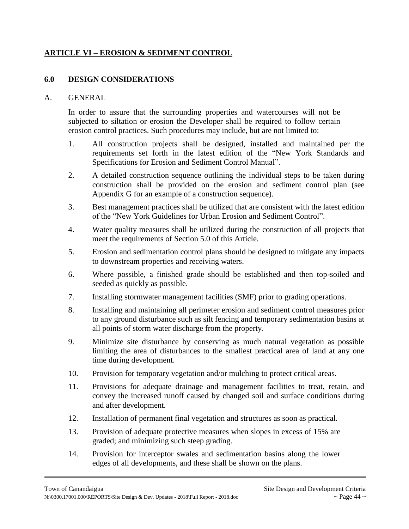## **ARTICLE VI – EROSION & SEDIMENT CONTROL**

#### **6.0 DESIGN CONSIDERATIONS**

#### A. GENERAL

In order to assure that the surrounding properties and watercourses will not be subjected to siltation or erosion the Developer shall be required to follow certain erosion control practices. Such procedures may include, but are not limited to:

- 1. All construction projects shall be designed, installed and maintained per the requirements set forth in the latest edition of the "New York Standards and Specifications for Erosion and Sediment Control Manual".
- 2. A detailed construction sequence outlining the individual steps to be taken during construction shall be provided on the erosion and sediment control plan (see Appendix G for an example of a construction sequence).
- 3. Best management practices shall be utilized that are consistent with the latest edition of the "New York Guidelines for Urban Erosion and Sediment Control".
- 4. Water quality measures shall be utilized during the construction of all projects that meet the requirements of Section 5.0 of this Article.
- 5. Erosion and sedimentation control plans should be designed to mitigate any impacts to downstream properties and receiving waters.
- 6. Where possible, a finished grade should be established and then top-soiled and seeded as quickly as possible.
- 7. Installing stormwater management facilities (SMF) prior to grading operations.
- 8. Installing and maintaining all perimeter erosion and sediment control measures prior to any ground disturbance such as silt fencing and temporary sedimentation basins at all points of storm water discharge from the property.
- 9. Minimize site disturbance by conserving as much natural vegetation as possible limiting the area of disturbances to the smallest practical area of land at any one time during development.
- 10. Provision for temporary vegetation and/or mulching to protect critical areas.
- 11. Provisions for adequate drainage and management facilities to treat, retain, and convey the increased runoff caused by changed soil and surface conditions during and after development.
- 12. Installation of permanent final vegetation and structures as soon as practical.
- 13. Provision of adequate protective measures when slopes in excess of 15% are graded; and minimizing such steep grading.
- 14. Provision for interceptor swales and sedimentation basins along the lower edges of all developments, and these shall be shown on the plans.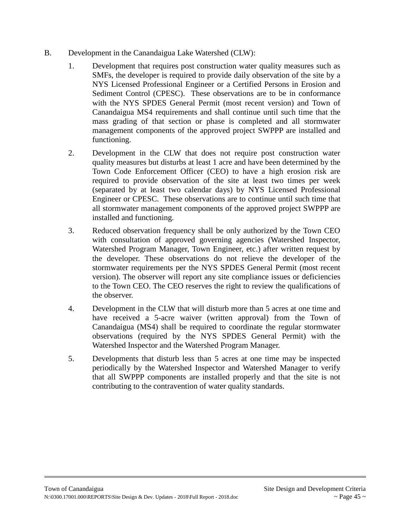- B. Development in the Canandaigua Lake Watershed (CLW):
	- 1. Development that requires post construction water quality measures such as SMFs, the developer is required to provide daily observation of the site by a NYS Licensed Professional Engineer or a Certified Persons in Erosion and Sediment Control (CPESC). These observations are to be in conformance with the NYS SPDES General Permit (most recent version) and Town of Canandaigua MS4 requirements and shall continue until such time that the mass grading of that section or phase is completed and all stormwater management components of the approved project SWPPP are installed and functioning.
	- 2. Development in the CLW that does not require post construction water quality measures but disturbs at least 1 acre and have been determined by the Town Code Enforcement Officer (CEO) to have a high erosion risk are required to provide observation of the site at least two times per week (separated by at least two calendar days) by NYS Licensed Professional Engineer or CPESC. These observations are to continue until such time that all stormwater management components of the approved project SWPPP are installed and functioning.
	- 3. Reduced observation frequency shall be only authorized by the Town CEO with consultation of approved governing agencies (Watershed Inspector, Watershed Program Manager, Town Engineer, etc.) after written request by the developer. These observations do not relieve the developer of the stormwater requirements per the NYS SPDES General Permit (most recent version). The observer will report any site compliance issues or deficiencies to the Town CEO. The CEO reserves the right to review the qualifications of the observer.
	- 4. Development in the CLW that will disturb more than 5 acres at one time and have received a 5-acre waiver (written approval) from the Town of Canandaigua (MS4) shall be required to coordinate the regular stormwater observations (required by the NYS SPDES General Permit) with the Watershed Inspector and the Watershed Program Manager.
	- 5. Developments that disturb less than 5 acres at one time may be inspected periodically by the Watershed Inspector and Watershed Manager to verify that all SWPPP components are installed properly and that the site is not contributing to the contravention of water quality standards.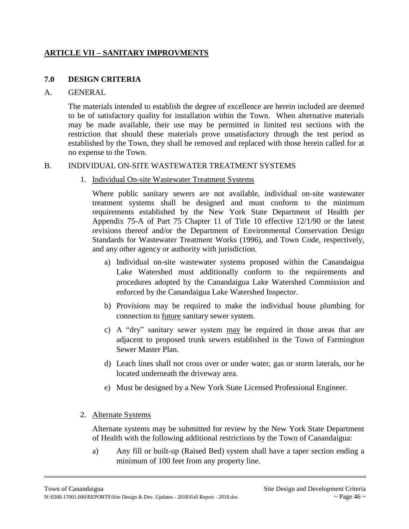## **ARTICLE VII – SANITARY IMPROVMENTS**

## **7.0 DESIGN CRITERIA**

#### A. GENERAL

The materials intended to establish the degree of excellence are herein included are deemed to be of satisfactory quality for installation within the Town. When alternative materials may be made available, their use may be permitted in limited test sections with the restriction that should these materials prove unsatisfactory through the test period as established by the Town, they shall be removed and replaced with those herein called for at no expense to the Town.

#### B. INDIVIDUAL ON-SITE WASTEWATER TREATMENT SYSTEMS

1. Individual On-site Wastewater Treatment Systems

Where public sanitary sewers are not available, individual on-site wastewater treatment systems shall be designed and must conform to the minimum requirements established by the New York State Department of Health per Appendix 75-A of Part 75 Chapter 11 of Title 10 effective 12/1/90 or the latest revisions thereof and/or the Department of Environmental Conservation Design Standards for Wastewater Treatment Works (1996), and Town Code, respectively, and any other agency or authority with jurisdiction.

- a) Individual on-site wastewater systems proposed within the Canandaigua Lake Watershed must additionally conform to the requirements and procedures adopted by the Canandaigua Lake Watershed Commission and enforced by the Canandaigua Lake Watershed Inspector.
- b) Provisions may be required to make the individual house plumbing for connection to future sanitary sewer system.
- c) A "dry" sanitary sewer system may be required in those areas that are adjacent to proposed trunk sewers established in the Town of Farmington Sewer Master Plan.
- d) Leach lines shall not cross over or under water, gas or storm laterals, nor be located underneath the driveway area.
- e) Must be designed by a New York State Licensed Professional Engineer.

#### 2. Alternate Systems

Alternate systems may be submitted for review by the New York State Department of Health with the following additional restrictions by the Town of Canandaigua:

a) Any fill or built-up (Raised Bed) system shall have a taper section ending a minimum of 100 feet from any property line.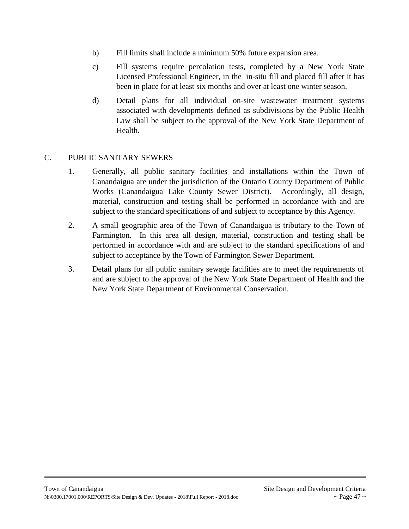- b) Fill limits shall include a minimum 50% future expansion area.
- c) Fill systems require percolation tests, completed by a New York State Licensed Professional Engineer, in the in-situ fill and placed fill after it has been in place for at least six months and over at least one winter season.
- d) Detail plans for all individual on-site wastewater treatment systems associated with developments defined as subdivisions by the Public Health Law shall be subject to the approval of the New York State Department of Health.

## C. PUBLIC SANITARY SEWERS

- 1. Generally, all public sanitary facilities and installations within the Town of Canandaigua are under the jurisdiction of the Ontario County Department of Public Works (Canandaigua Lake County Sewer District). Accordingly, all design, material, construction and testing shall be performed in accordance with and are subject to the standard specifications of and subject to acceptance by this Agency.
- 2. A small geographic area of the Town of Canandaigua is tributary to the Town of Farmington. In this area all design, material, construction and testing shall be performed in accordance with and are subject to the standard specifications of and subject to acceptance by the Town of Farmington Sewer Department.
- 3. Detail plans for all public sanitary sewage facilities are to meet the requirements of and are subject to the approval of the New York State Department of Health and the New York State Department of Environmental Conservation.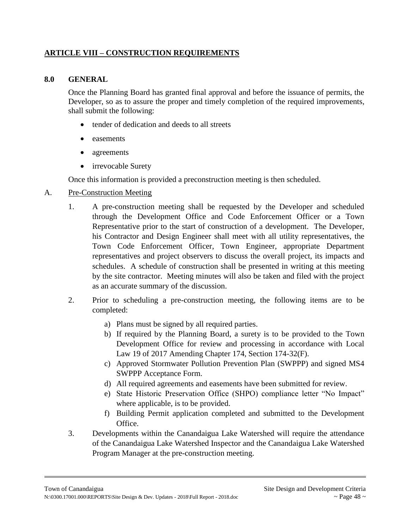## **ARTICLE VIII – CONSTRUCTION REQUIREMENTS**

#### **8.0 GENERAL**

Once the Planning Board has granted final approval and before the issuance of permits, the Developer, so as to assure the proper and timely completion of the required improvements, shall submit the following:

- tender of dedication and deeds to all streets
- easements
- agreements
- irrevocable Surety

Once this information is provided a preconstruction meeting is then scheduled.

#### A. Pre-Construction Meeting

- 1. A pre-construction meeting shall be requested by the Developer and scheduled through the Development Office and Code Enforcement Officer or a Town Representative prior to the start of construction of a development. The Developer, his Contractor and Design Engineer shall meet with all utility representatives, the Town Code Enforcement Officer, Town Engineer, appropriate Department representatives and project observers to discuss the overall project, its impacts and schedules. A schedule of construction shall be presented in writing at this meeting by the site contractor. Meeting minutes will also be taken and filed with the project as an accurate summary of the discussion.
- 2. Prior to scheduling a pre-construction meeting, the following items are to be completed:
	- a) Plans must be signed by all required parties.
	- b) If required by the Planning Board, a surety is to be provided to the Town Development Office for review and processing in accordance with Local Law 19 of 2017 Amending Chapter 174, Section 174-32(F).
	- c) Approved Stormwater Pollution Prevention Plan (SWPPP) and signed MS4 SWPPP Acceptance Form.
	- d) All required agreements and easements have been submitted for review.
	- e) State Historic Preservation Office (SHPO) compliance letter "No Impact" where applicable, is to be provided.
	- f) Building Permit application completed and submitted to the Development Office.
- 3. Developments within the Canandaigua Lake Watershed will require the attendance of the Canandaigua Lake Watershed Inspector and the Canandaigua Lake Watershed Program Manager at the pre-construction meeting.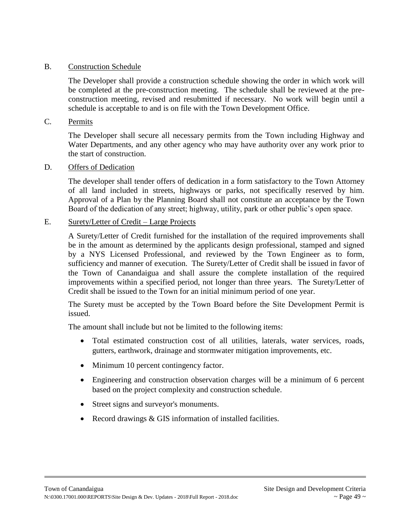#### B. Construction Schedule

The Developer shall provide a construction schedule showing the order in which work will be completed at the pre-construction meeting. The schedule shall be reviewed at the preconstruction meeting, revised and resubmitted if necessary. No work will begin until a schedule is acceptable to and is on file with the Town Development Office.

#### C. Permits

The Developer shall secure all necessary permits from the Town including Highway and Water Departments, and any other agency who may have authority over any work prior to the start of construction.

#### D. Offers of Dedication

The developer shall tender offers of dedication in a form satisfactory to the Town Attorney of all land included in streets, highways or parks, not specifically reserved by him. Approval of a Plan by the Planning Board shall not constitute an acceptance by the Town Board of the dedication of any street; highway, utility, park or other public's open space.

#### E. Surety/Letter of Credit – Large Projects

A Surety/Letter of Credit furnished for the installation of the required improvements shall be in the amount as determined by the applicants design professional, stamped and signed by a NYS Licensed Professional, and reviewed by the Town Engineer as to form, sufficiency and manner of execution. The Surety/Letter of Credit shall be issued in favor of the Town of Canandaigua and shall assure the complete installation of the required improvements within a specified period, not longer than three years. The Surety/Letter of Credit shall be issued to the Town for an initial minimum period of one year.

The Surety must be accepted by the Town Board before the Site Development Permit is issued.

The amount shall include but not be limited to the following items:

- Total estimated construction cost of all utilities, laterals, water services, roads, gutters, earthwork, drainage and stormwater mitigation improvements, etc.
- Minimum 10 percent contingency factor.
- Engineering and construction observation charges will be a minimum of 6 percent based on the project complexity and construction schedule.
- Street signs and surveyor's monuments.
- Record drawings & GIS information of installed facilities.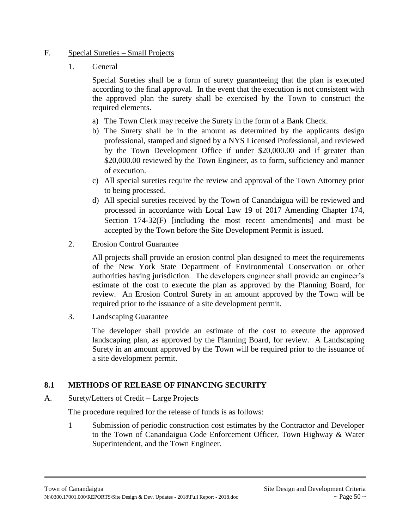## F. Special Sureties – Small Projects

1. General

Special Sureties shall be a form of surety guaranteeing that the plan is executed according to the final approval. In the event that the execution is not consistent with the approved plan the surety shall be exercised by the Town to construct the required elements.

- a) The Town Clerk may receive the Surety in the form of a Bank Check.
- b) The Surety shall be in the amount as determined by the applicants design professional, stamped and signed by a NYS Licensed Professional, and reviewed by the Town Development Office if under \$20,000.00 and if greater than \$20,000.00 reviewed by the Town Engineer, as to form, sufficiency and manner of execution.
- c) All special sureties require the review and approval of the Town Attorney prior to being processed.
- d) All special sureties received by the Town of Canandaigua will be reviewed and processed in accordance with Local Law 19 of 2017 Amending Chapter 174, Section 174-32(F) [including the most recent amendments] and must be accepted by the Town before the Site Development Permit is issued.
- 2. Erosion Control Guarantee

All projects shall provide an erosion control plan designed to meet the requirements of the New York State Department of Environmental Conservation or other authorities having jurisdiction. The developers engineer shall provide an engineer's estimate of the cost to execute the plan as approved by the Planning Board, for review. An Erosion Control Surety in an amount approved by the Town will be required prior to the issuance of a site development permit.

3. Landscaping Guarantee

The developer shall provide an estimate of the cost to execute the approved landscaping plan, as approved by the Planning Board, for review. A Landscaping Surety in an amount approved by the Town will be required prior to the issuance of a site development permit.

# **8.1 METHODS OF RELEASE OF FINANCING SECURITY**

# A. Surety/Letters of Credit – Large Projects

The procedure required for the release of funds is as follows:

1 Submission of periodic construction cost estimates by the Contractor and Developer to the Town of Canandaigua Code Enforcement Officer, Town Highway & Water Superintendent, and the Town Engineer.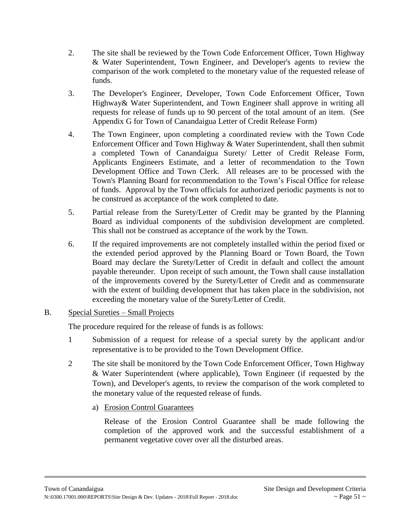- 2. The site shall be reviewed by the Town Code Enforcement Officer, Town Highway & Water Superintendent, Town Engineer, and Developer's agents to review the comparison of the work completed to the monetary value of the requested release of funds.
- 3. The Developer's Engineer, Developer, Town Code Enforcement Officer, Town Highway& Water Superintendent, and Town Engineer shall approve in writing all requests for release of funds up to 90 percent of the total amount of an item. (See Appendix G for Town of Canandaigua Letter of Credit Release Form)
- 4. The Town Engineer, upon completing a coordinated review with the Town Code Enforcement Officer and Town Highway & Water Superintendent, shall then submit a completed Town of Canandaigua Surety/ Letter of Credit Release Form, Applicants Engineers Estimate, and a letter of recommendation to the Town Development Office and Town Clerk. All releases are to be processed with the Town's Planning Board for recommendation to the Town's Fiscal Office for release of funds. Approval by the Town officials for authorized periodic payments is not to be construed as acceptance of the work completed to date.
- 5. Partial release from the Surety/Letter of Credit may be granted by the Planning Board as individual components of the subdivision development are completed. This shall not be construed as acceptance of the work by the Town.
- 6. If the required improvements are not completely installed within the period fixed or the extended period approved by the Planning Board or Town Board, the Town Board may declare the Surety/Letter of Credit in default and collect the amount payable thereunder. Upon receipt of such amount, the Town shall cause installation of the improvements covered by the Surety/Letter of Credit and as commensurate with the extent of building development that has taken place in the subdivision, not exceeding the monetary value of the Surety/Letter of Credit.

## B. Special Sureties – Small Projects

The procedure required for the release of funds is as follows:

- 1 Submission of a request for release of a special surety by the applicant and/or representative is to be provided to the Town Development Office.
- 2 The site shall be monitored by the Town Code Enforcement Officer, Town Highway & Water Superintendent (where applicable), Town Engineer (if requested by the Town), and Developer's agents, to review the comparison of the work completed to the monetary value of the requested release of funds.
	- a) Erosion Control Guarantees

Release of the Erosion Control Guarantee shall be made following the completion of the approved work and the successful establishment of a permanent vegetative cover over all the disturbed areas.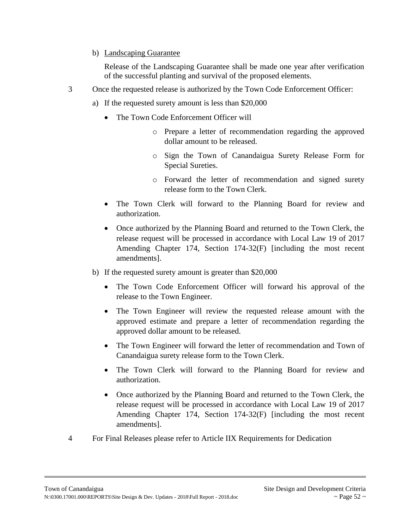## b) Landscaping Guarantee

Release of the Landscaping Guarantee shall be made one year after verification of the successful planting and survival of the proposed elements.

- 3 Once the requested release is authorized by the Town Code Enforcement Officer:
	- a) If the requested surety amount is less than \$20,000
		- The Town Code Enforcement Officer will
			- o Prepare a letter of recommendation regarding the approved dollar amount to be released.
			- o Sign the Town of Canandaigua Surety Release Form for Special Sureties.
			- o Forward the letter of recommendation and signed surety release form to the Town Clerk.
		- The Town Clerk will forward to the Planning Board for review and authorization.
		- Once authorized by the Planning Board and returned to the Town Clerk, the release request will be processed in accordance with Local Law 19 of 2017 Amending Chapter 174, Section 174-32(F) [including the most recent amendments].
	- b) If the requested surety amount is greater than \$20,000
		- The Town Code Enforcement Officer will forward his approval of the release to the Town Engineer.
		- The Town Engineer will review the requested release amount with the approved estimate and prepare a letter of recommendation regarding the approved dollar amount to be released.
		- The Town Engineer will forward the letter of recommendation and Town of Canandaigua surety release form to the Town Clerk.
		- The Town Clerk will forward to the Planning Board for review and authorization.
		- Once authorized by the Planning Board and returned to the Town Clerk, the release request will be processed in accordance with Local Law 19 of 2017 Amending Chapter 174, Section 174-32(F) [including the most recent amendments].
- 4 For Final Releases please refer to Article IIX Requirements for Dedication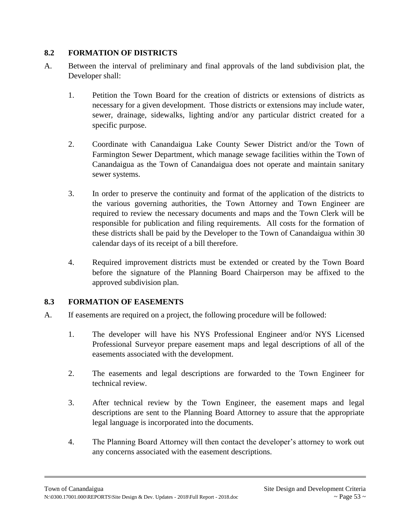# **8.2 FORMATION OF DISTRICTS**

- A. Between the interval of preliminary and final approvals of the land subdivision plat, the Developer shall:
	- 1. Petition the Town Board for the creation of districts or extensions of districts as necessary for a given development. Those districts or extensions may include water, sewer, drainage, sidewalks, lighting and/or any particular district created for a specific purpose.
	- 2. Coordinate with Canandaigua Lake County Sewer District and/or the Town of Farmington Sewer Department, which manage sewage facilities within the Town of Canandaigua as the Town of Canandaigua does not operate and maintain sanitary sewer systems.
	- 3. In order to preserve the continuity and format of the application of the districts to the various governing authorities, the Town Attorney and Town Engineer are required to review the necessary documents and maps and the Town Clerk will be responsible for publication and filing requirements. All costs for the formation of these districts shall be paid by the Developer to the Town of Canandaigua within 30 calendar days of its receipt of a bill therefore.
	- 4. Required improvement districts must be extended or created by the Town Board before the signature of the Planning Board Chairperson may be affixed to the approved subdivision plan.

# **8.3 FORMATION OF EASEMENTS**

- A. If easements are required on a project, the following procedure will be followed:
	- 1. The developer will have his NYS Professional Engineer and/or NYS Licensed Professional Surveyor prepare easement maps and legal descriptions of all of the easements associated with the development.
	- 2. The easements and legal descriptions are forwarded to the Town Engineer for technical review.
	- 3. After technical review by the Town Engineer, the easement maps and legal descriptions are sent to the Planning Board Attorney to assure that the appropriate legal language is incorporated into the documents.
	- 4. The Planning Board Attorney will then contact the developer's attorney to work out any concerns associated with the easement descriptions.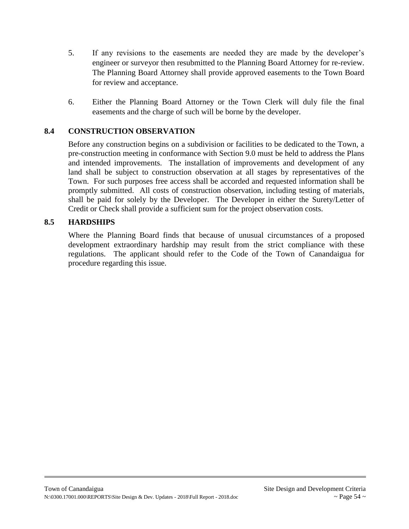- 5. If any revisions to the easements are needed they are made by the developer's engineer or surveyor then resubmitted to the Planning Board Attorney for re-review. The Planning Board Attorney shall provide approved easements to the Town Board for review and acceptance.
- 6. Either the Planning Board Attorney or the Town Clerk will duly file the final easements and the charge of such will be borne by the developer.

## **8.4 CONSTRUCTION OBSERVATION**

Before any construction begins on a subdivision or facilities to be dedicated to the Town, a pre-construction meeting in conformance with Section 9.0 must be held to address the Plans and intended improvements. The installation of improvements and development of any land shall be subject to construction observation at all stages by representatives of the Town. For such purposes free access shall be accorded and requested information shall be promptly submitted. All costs of construction observation, including testing of materials, shall be paid for solely by the Developer. The Developer in either the Surety/Letter of Credit or Check shall provide a sufficient sum for the project observation costs.

## **8.5 HARDSHIPS**

Where the Planning Board finds that because of unusual circumstances of a proposed development extraordinary hardship may result from the strict compliance with these regulations. The applicant should refer to the Code of the Town of Canandaigua for procedure regarding this issue.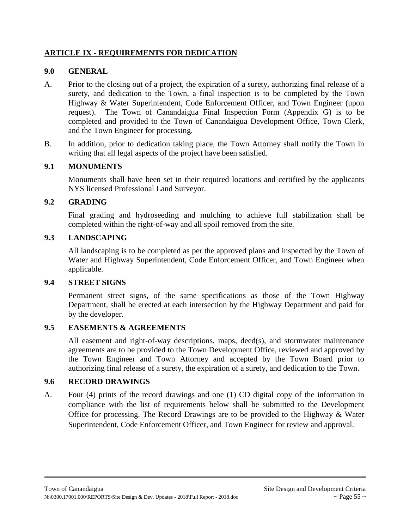## **ARTICLE IX - REQUIREMENTS FOR DEDICATION**

## **9.0 GENERAL**

- A. Prior to the closing out of a project, the expiration of a surety, authorizing final release of a surety, and dedication to the Town, a final inspection is to be completed by the Town Highway & Water Superintendent, Code Enforcement Officer, and Town Engineer (upon request). The Town of Canandaigua Final Inspection Form (Appendix G) is to be completed and provided to the Town of Canandaigua Development Office, Town Clerk, and the Town Engineer for processing.
- B. In addition, prior to dedication taking place, the Town Attorney shall notify the Town in writing that all legal aspects of the project have been satisfied.

## **9.1 MONUMENTS**

Monuments shall have been set in their required locations and certified by the applicants NYS licensed Professional Land Surveyor.

## **9.2 GRADING**

Final grading and hydroseeding and mulching to achieve full stabilization shall be completed within the right-of-way and all spoil removed from the site.

## **9.3 LANDSCAPING**

All landscaping is to be completed as per the approved plans and inspected by the Town of Water and Highway Superintendent, Code Enforcement Officer, and Town Engineer when applicable.

## **9.4 STREET SIGNS**

Permanent street signs, of the same specifications as those of the Town Highway Department, shall be erected at each intersection by the Highway Department and paid for by the developer.

## **9.5 EASEMENTS & AGREEMENTS**

All easement and right-of-way descriptions, maps, deed(s), and stormwater maintenance agreements are to be provided to the Town Development Office, reviewed and approved by the Town Engineer and Town Attorney and accepted by the Town Board prior to authorizing final release of a surety, the expiration of a surety, and dedication to the Town.

## **9.6 RECORD DRAWINGS**

A. Four (4) prints of the record drawings and one (1) CD digital copy of the information in compliance with the list of requirements below shall be submitted to the Development Office for processing. The Record Drawings are to be provided to the Highway & Water Superintendent, Code Enforcement Officer, and Town Engineer for review and approval.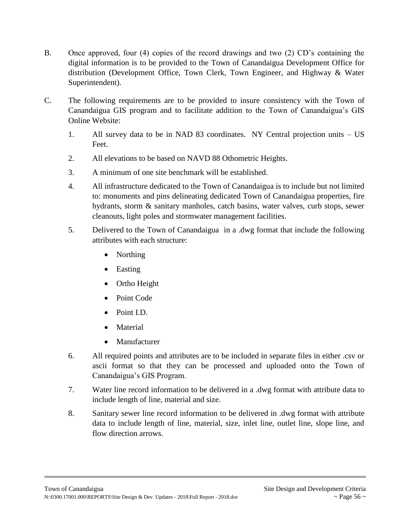- B. Once approved, four (4) copies of the record drawings and two (2) CD's containing the digital information is to be provided to the Town of Canandaigua Development Office for distribution (Development Office, Town Clerk, Town Engineer, and Highway & Water Superintendent).
- C. The following requirements are to be provided to insure consistency with the Town of Canandaigua GIS program and to facilitate addition to the Town of Canandaigua's GIS Online Website:
	- 1. All survey data to be in NAD 83 coordinates. NY Central projection units US Feet.
	- 2. All elevations to be based on NAVD 88 Othometric Heights.
	- 3. A minimum of one site benchmark will be established.
	- 4. All infrastructure dedicated to the Town of Canandaigua is to include but not limited to: monuments and pins delineating dedicated Town of Canandaigua properties, fire hydrants, storm & sanitary manholes, catch basins, water valves, curb stops, sewer cleanouts, light poles and stormwater management facilities.
	- 5. Delivered to the Town of Canandaigua in a .dwg format that include the following attributes with each structure:
		- Northing
		- Easting
		- Ortho Height
		- Point Code
		- Point I.D.
		- Material
		- Manufacturer
	- 6. All required points and attributes are to be included in separate files in either .csv or ascii format so that they can be processed and uploaded onto the Town of Canandaigua's GIS Program.
	- 7. Water line record information to be delivered in a .dwg format with attribute data to include length of line, material and size.
	- 8. Sanitary sewer line record information to be delivered in .dwg format with attribute data to include length of line, material, size, inlet line, outlet line, slope line, and flow direction arrows.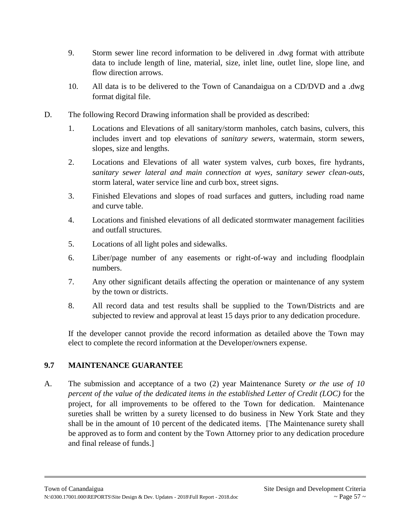- 9. Storm sewer line record information to be delivered in .dwg format with attribute data to include length of line, material, size, inlet line, outlet line, slope line, and flow direction arrows.
- 10. All data is to be delivered to the Town of Canandaigua on a CD/DVD and a .dwg format digital file.
- D. The following Record Drawing information shall be provided as described:
	- 1. Locations and Elevations of all sanitary/storm manholes, catch basins, culvers, this includes invert and top elevations of *sanitary sewers*, watermain, storm sewers, slopes, size and lengths.
	- 2. Locations and Elevations of all water system valves, curb boxes, fire hydrants, *sanitary sewer lateral and main connection at wyes, sanitary sewer clean-outs,* storm lateral, water service line and curb box, street signs.
	- 3. Finished Elevations and slopes of road surfaces and gutters, including road name and curve table.
	- 4. Locations and finished elevations of all dedicated stormwater management facilities and outfall structures.
	- 5. Locations of all light poles and sidewalks.
	- 6. Liber/page number of any easements or right-of-way and including floodplain numbers.
	- 7. Any other significant details affecting the operation or maintenance of any system by the town or districts.
	- 8. All record data and test results shall be supplied to the Town/Districts and are subjected to review and approval at least 15 days prior to any dedication procedure.

If the developer cannot provide the record information as detailed above the Town may elect to complete the record information at the Developer/owners expense.

# **9.7 MAINTENANCE GUARANTEE**

A. The submission and acceptance of a two (2) year Maintenance Surety *or the use of 10 percent of the value of the dedicated items in the established Letter of Credit (LOC)* for the project, for all improvements to be offered to the Town for dedication. Maintenance sureties shall be written by a surety licensed to do business in New York State and they shall be in the amount of 10 percent of the dedicated items. [The Maintenance surety shall be approved as to form and content by the Town Attorney prior to any dedication procedure and final release of funds.]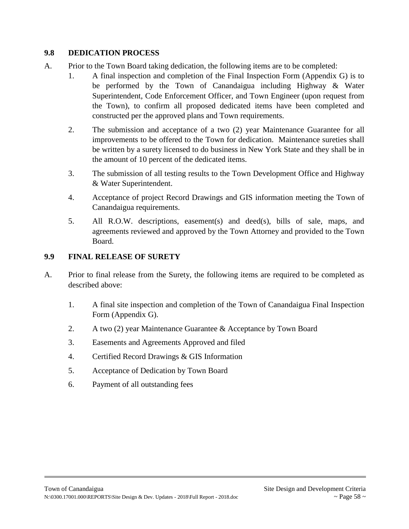## **9.8 DEDICATION PROCESS**

- A. Prior to the Town Board taking dedication, the following items are to be completed:
	- 1. A final inspection and completion of the Final Inspection Form (Appendix G) is to be performed by the Town of Canandaigua including Highway & Water Superintendent, Code Enforcement Officer, and Town Engineer (upon request from the Town), to confirm all proposed dedicated items have been completed and constructed per the approved plans and Town requirements.
	- 2. The submission and acceptance of a two (2) year Maintenance Guarantee for all improvements to be offered to the Town for dedication. Maintenance sureties shall be written by a surety licensed to do business in New York State and they shall be in the amount of 10 percent of the dedicated items.
	- 3. The submission of all testing results to the Town Development Office and Highway & Water Superintendent.
	- 4. Acceptance of project Record Drawings and GIS information meeting the Town of Canandaigua requirements.
	- 5. All R.O.W. descriptions, easement(s) and deed(s), bills of sale, maps, and agreements reviewed and approved by the Town Attorney and provided to the Town Board.

## **9.9 FINAL RELEASE OF SURETY**

- A. Prior to final release from the Surety, the following items are required to be completed as described above:
	- 1. A final site inspection and completion of the Town of Canandaigua Final Inspection Form (Appendix G).
	- 2. A two (2) year Maintenance Guarantee & Acceptance by Town Board
	- 3. Easements and Agreements Approved and filed
	- 4. Certified Record Drawings & GIS Information
	- 5. Acceptance of Dedication by Town Board
	- 6. Payment of all outstanding fees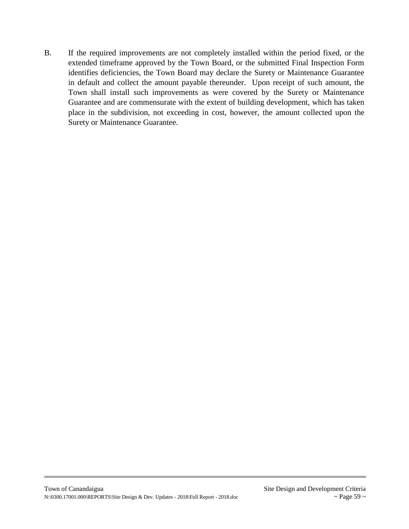B. If the required improvements are not completely installed within the period fixed, or the extended timeframe approved by the Town Board, or the submitted Final Inspection Form identifies deficiencies, the Town Board may declare the Surety or Maintenance Guarantee in default and collect the amount payable thereunder. Upon receipt of such amount, the Town shall install such improvements as were covered by the Surety or Maintenance Guarantee and are commensurate with the extent of building development, which has taken place in the subdivision, not exceeding in cost, however, the amount collected upon the Surety or Maintenance Guarantee.